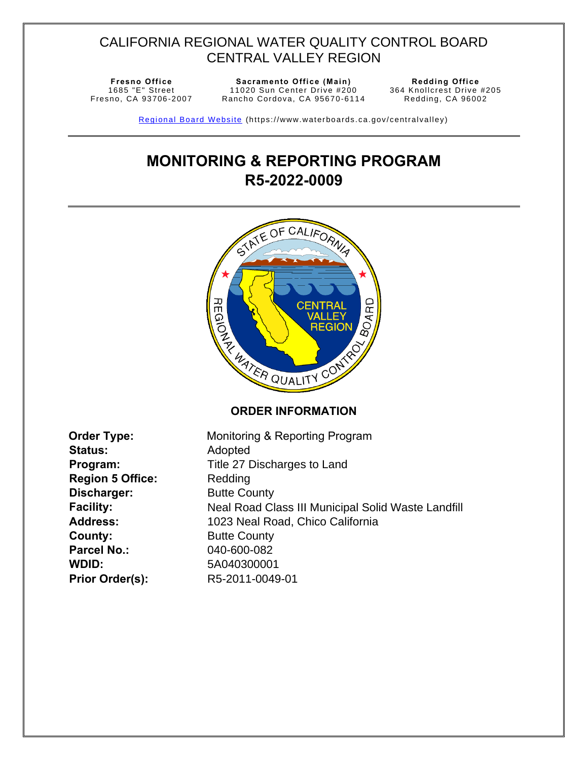# CALIFORNIA REGIONAL WATER QUALITY CONTROL BOARD CENTRAL VALLEY REGION

1685 "E" Street Fresno, CA 93706 -2007

**Fresno Office Sacramento Office (Main) Redding Office**  11020 Sun Center Drive #200 Rancho Cordova, CA 95670-6114

364 Knollcrest Drive #205 Redding, CA 96002

Regional Board Website (https://www.waterboards.ca.gov/centralvalley)

# **MONITORING & REPORTING PROGRAM R5-2022-0009**

<span id="page-0-0"></span>

| <b>Order Type:</b>      | Monitoring & Reporting Program                     |
|-------------------------|----------------------------------------------------|
| <b>Status:</b>          | Adopted                                            |
| Program:                | Title 27 Discharges to Land                        |
| <b>Region 5 Office:</b> | Redding                                            |
| Discharger:             | <b>Butte County</b>                                |
| <b>Facility:</b>        | Neal Road Class III Municipal Solid Waste Landfill |
| <b>Address:</b>         | 1023 Neal Road, Chico California                   |
| County:                 | <b>Butte County</b>                                |
| <b>Parcel No.:</b>      | 040-600-082                                        |
| WDID:                   | 5A040300001                                        |
| <b>Prior Order(s):</b>  | R5-2011-0049-01                                    |
|                         |                                                    |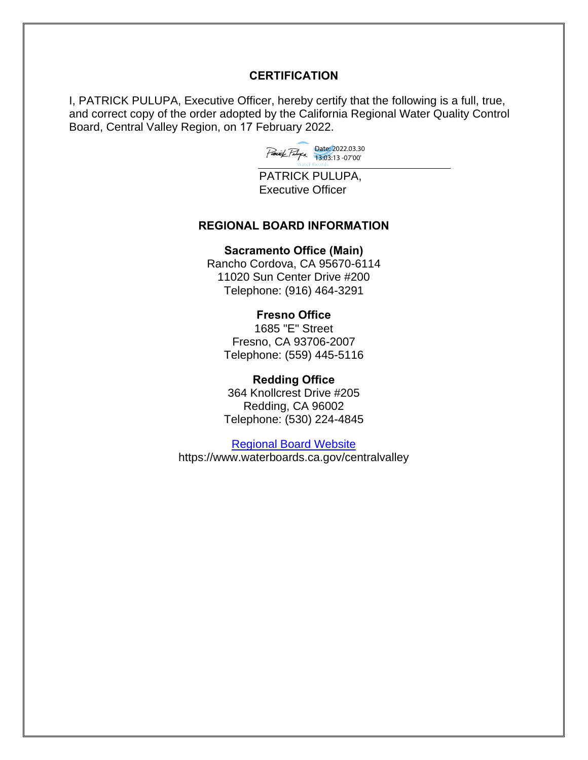#### **CERTIFICATION**

I, PATRICK PULUPA, Executive Officer, hereby certify that the following is a full, true, and correct copy of the order adopted by the California Regional Water Quality Control Board, Central Valley Region, on 17 February 2022.

Date: 2022.03.30 13:03:13 -07'00'

PATRICK PULUPA, Executive Officer

#### **REGIONAL BOARD INFORMATION**

#### **Sacramento Office (Main)**

Rancho Cordova, CA 95670-6114 11020 Sun Center Drive #200 Telephone: (916) 464-3291

#### **Fresno Office**

1685 "E" Street Fresno, CA 93706-2007 Telephone: (559) 445-5116

#### **Redding Office**

364 Knollcrest Drive #205 Redding, CA 96002 Telephone: (530) 224-4845

[Regional Board Website](https://www.waterboards.ca.gov/centralvalley/) https://www.waterboards.ca.gov/centralvalley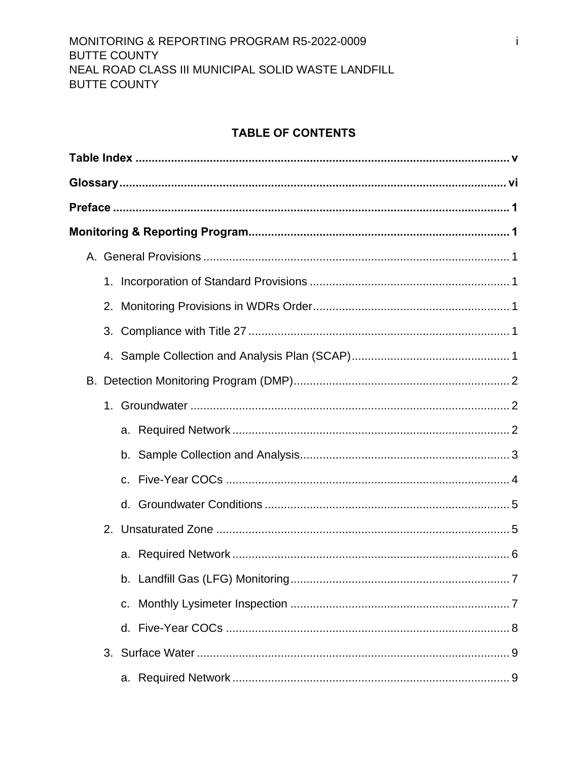# **TABLE OF CONTENTS**

| 1. |         |
|----|---------|
|    |         |
|    |         |
|    |         |
|    |         |
|    |         |
|    |         |
|    |         |
|    | $C_{1}$ |
|    |         |
|    |         |
|    |         |
|    |         |
|    | C.      |
|    |         |
|    |         |
|    |         |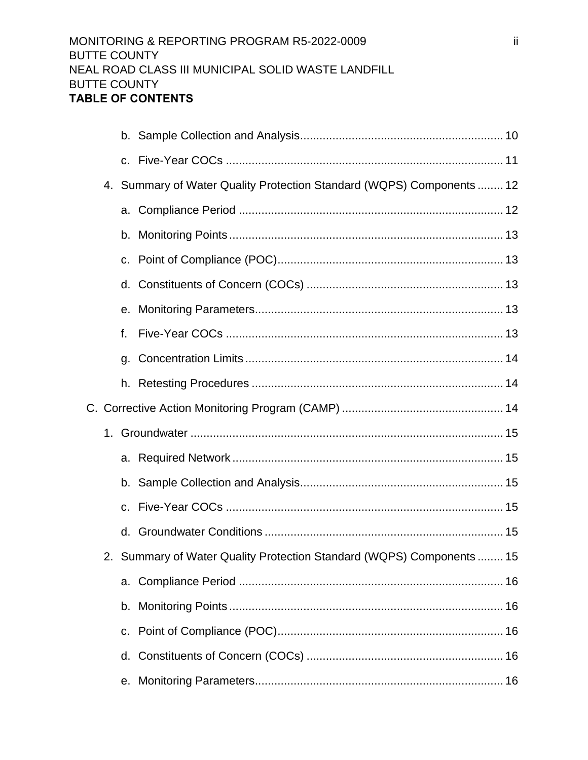|  |    | 4. Summary of Water Quality Protection Standard (WQPS) Components  12 |
|--|----|-----------------------------------------------------------------------|
|  |    |                                                                       |
|  |    |                                                                       |
|  |    |                                                                       |
|  | d. |                                                                       |
|  |    |                                                                       |
|  | f. |                                                                       |
|  | g. |                                                                       |
|  |    |                                                                       |
|  |    |                                                                       |
|  |    |                                                                       |
|  |    |                                                                       |
|  |    |                                                                       |
|  |    |                                                                       |
|  | d. |                                                                       |
|  |    | 2. Summary of Water Quality Protection Standard (WQPS) Components  15 |
|  | а. |                                                                       |
|  |    |                                                                       |
|  | C. |                                                                       |
|  | d. |                                                                       |
|  | е. |                                                                       |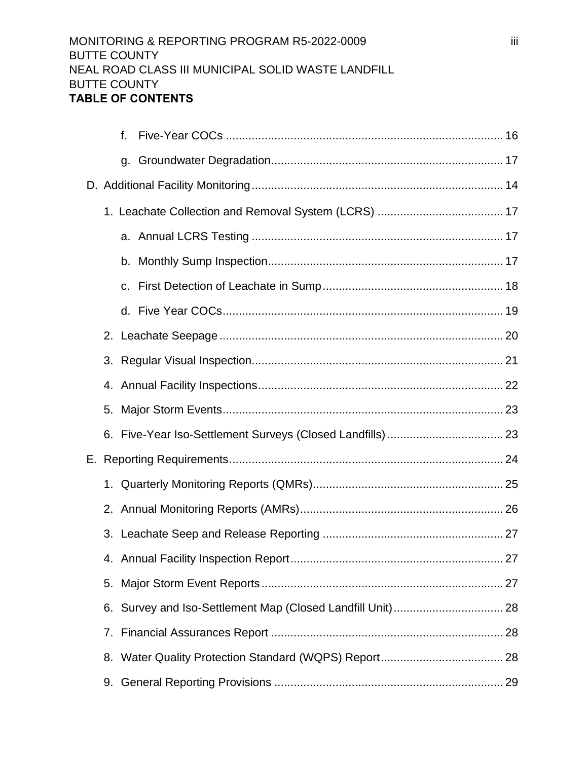|    | f. |  |
|----|----|--|
|    | g. |  |
|    |    |  |
|    |    |  |
|    |    |  |
|    |    |  |
|    |    |  |
|    |    |  |
|    |    |  |
| 3. |    |  |
|    |    |  |
| 5. |    |  |
|    |    |  |
|    |    |  |
| 1. |    |  |
| 2. |    |  |
|    |    |  |
|    |    |  |
| 5. |    |  |
| 6. |    |  |
| 7. |    |  |
| 8. |    |  |
| 9. |    |  |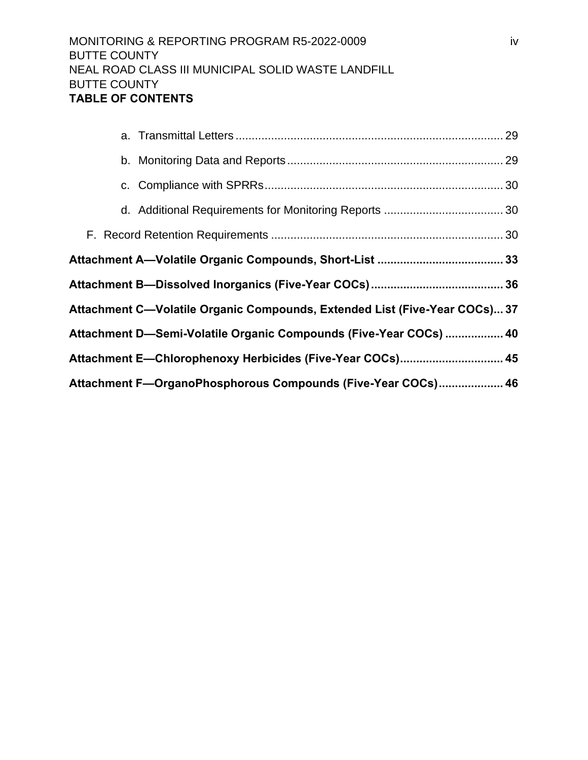| Attachment C—Volatile Organic Compounds, Extended List (Five-Year COCs) 37 |  |
|----------------------------------------------------------------------------|--|
| Attachment D—Semi-Volatile Organic Compounds (Five-Year COCs)  40          |  |
| Attachment E—Chlorophenoxy Herbicides (Five-Year COCs) 45                  |  |
| Attachment F-OrganoPhosphorous Compounds (Five-Year COCs) 46               |  |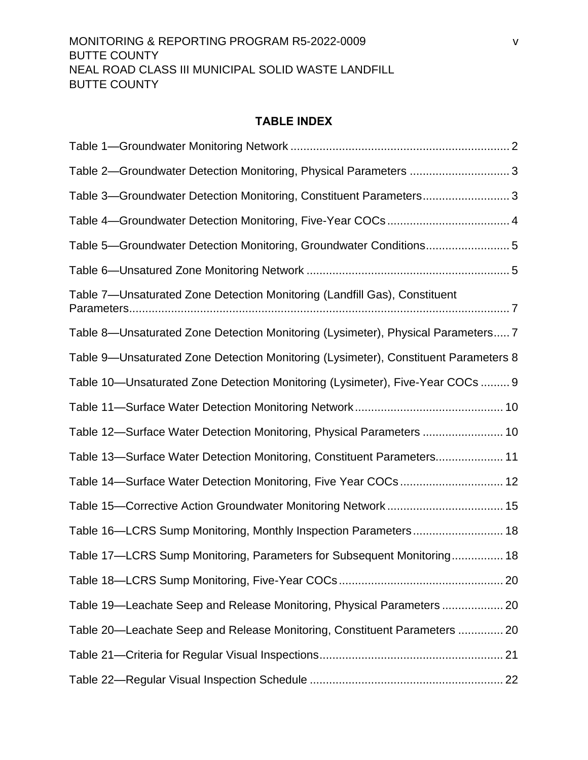#### **TABLE INDEX**

<span id="page-6-0"></span>

| Table 2-Groundwater Detection Monitoring, Physical Parameters 3                     |
|-------------------------------------------------------------------------------------|
| Table 3—Groundwater Detection Monitoring, Constituent Parameters3                   |
|                                                                                     |
| Table 5-Groundwater Detection Monitoring, Groundwater Conditions5                   |
|                                                                                     |
| Table 7-Unsaturated Zone Detection Monitoring (Landfill Gas), Constituent           |
| Table 8—Unsaturated Zone Detection Monitoring (Lysimeter), Physical Parameters 7    |
| Table 9—Unsaturated Zone Detection Monitoring (Lysimeter), Constituent Parameters 8 |
| Table 10—Unsaturated Zone Detection Monitoring (Lysimeter), Five-Year COCs  9       |
|                                                                                     |
| Table 12-Surface Water Detection Monitoring, Physical Parameters  10                |
| Table 13—Surface Water Detection Monitoring, Constituent Parameters 11              |
|                                                                                     |
|                                                                                     |
| Table 16-LCRS Sump Monitoring, Monthly Inspection Parameters 18                     |
| Table 17-LCRS Sump Monitoring, Parameters for Subsequent Monitoring 18              |
|                                                                                     |
| Table 19—Leachate Seep and Release Monitoring, Physical Parameters  20              |
| Table 20—Leachate Seep and Release Monitoring, Constituent Parameters  20           |
|                                                                                     |
|                                                                                     |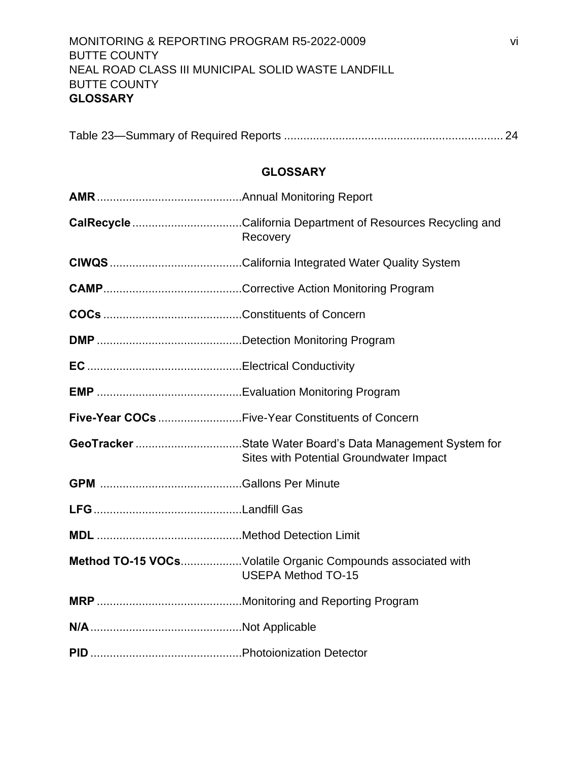|--|

## **GLOSSARY**

<span id="page-7-0"></span>

| Recovery                                                                                             |
|------------------------------------------------------------------------------------------------------|
|                                                                                                      |
|                                                                                                      |
|                                                                                                      |
|                                                                                                      |
|                                                                                                      |
|                                                                                                      |
| Five-Year COCs Five-Year Constituents of Concern                                                     |
| GeoTracker State Water Board's Data Management System for<br>Sites with Potential Groundwater Impact |
|                                                                                                      |
|                                                                                                      |
|                                                                                                      |
| <b>Method TO-15 VOCsVolatile Organic Compounds associated with</b><br><b>USEPA Method TO-15</b>      |
|                                                                                                      |
|                                                                                                      |
|                                                                                                      |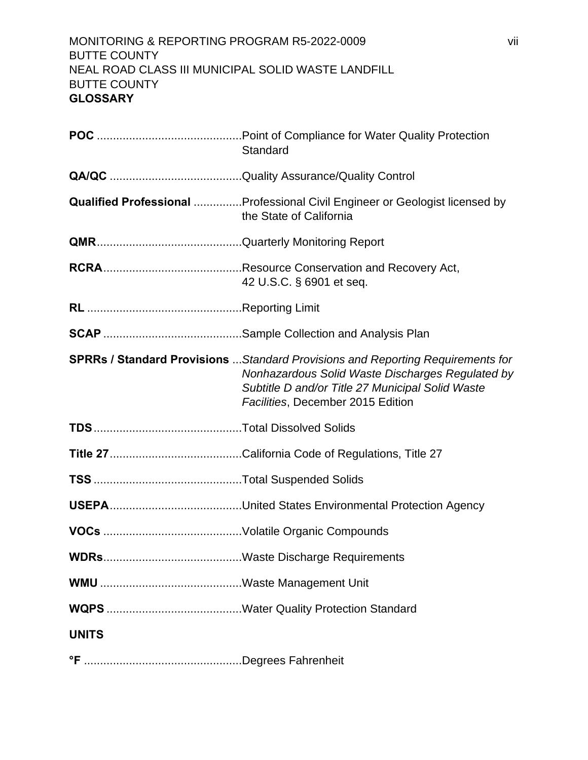## MONITORING & REPORTING PROGRAM R5-2022-0009 vii BUTTE COUNTY NEAL ROAD CLASS III MUNICIPAL SOLID WASTE LANDFILL BUTTE COUNTY **GLOSSARY**

|              | Standard                                                                                                                                                                                                                           |
|--------------|------------------------------------------------------------------------------------------------------------------------------------------------------------------------------------------------------------------------------------|
|              |                                                                                                                                                                                                                                    |
|              | <b>Qualified Professional Professional Civil Engineer or Geologist licensed by</b><br>the State of California                                                                                                                      |
|              |                                                                                                                                                                                                                                    |
|              | 42 U.S.C. § 6901 et seq.                                                                                                                                                                                                           |
|              |                                                                                                                                                                                                                                    |
|              |                                                                                                                                                                                                                                    |
|              | <b>SPRRs / Standard Provisions</b> Standard Provisions and Reporting Requirements for<br>Nonhazardous Solid Waste Discharges Regulated by<br>Subtitle D and/or Title 27 Municipal Solid Waste<br>Facilities, December 2015 Edition |
|              |                                                                                                                                                                                                                                    |
|              |                                                                                                                                                                                                                                    |
|              |                                                                                                                                                                                                                                    |
|              |                                                                                                                                                                                                                                    |
|              |                                                                                                                                                                                                                                    |
| WDRs.        |                                                                                                                                                                                                                                    |
|              |                                                                                                                                                                                                                                    |
|              |                                                                                                                                                                                                                                    |
| <b>UNITS</b> |                                                                                                                                                                                                                                    |
|              |                                                                                                                                                                                                                                    |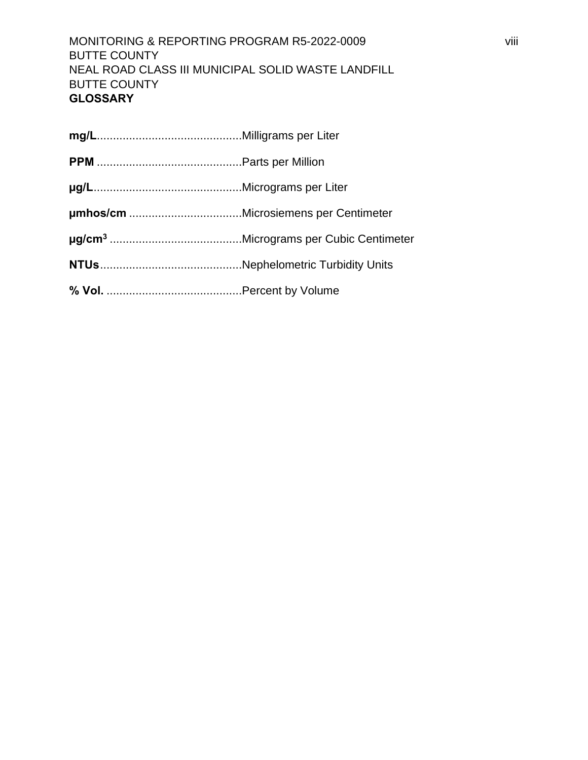MONITORING & REPORTING PROGRAM R5-2022-0009 viii BUTTE COUNTY NEAL ROAD CLASS III MUNICIPAL SOLID WASTE LANDFILL BUTTE COUNTY **GLOSSARY**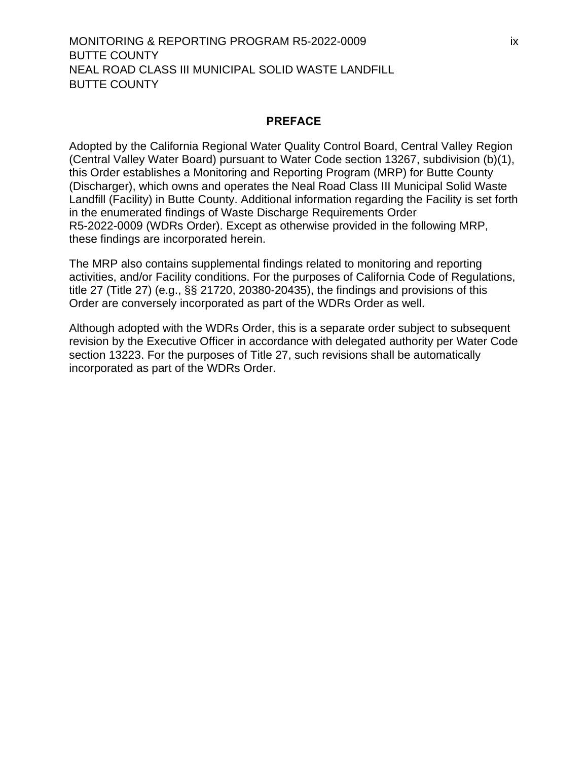#### **PREFACE**

<span id="page-10-0"></span>Adopted by the California Regional Water Quality Control Board, Central Valley Region (Central Valley Water Board) pursuant to Water Code section 13267, subdivision (b)(1), this Order establishes a Monitoring and Reporting Program (MRP) for Butte County (Discharger), which owns and operates the Neal Road Class III Municipal Solid Waste Landfill (Facility) in Butte County. Additional information regarding the Facility is set forth in the enumerated findings of Waste Discharge Requirements Order [R5-2022-](#page-0-0)0009 (WDRs Order). Except as otherwise provided in the following MRP, these findings are incorporated herein.

The MRP also contains supplemental findings related to monitoring and reporting activities, and/or Facility conditions. For the purposes of California Code of Regulations, title 27 (Title 27) (e.g., §§ 21720, 20380-20435), the findings and provisions of this Order are conversely incorporated as part of the WDRs Order as well.

Although adopted with the WDRs Order, this is a separate order subject to subsequent revision by the Executive Officer in accordance with delegated authority per Water Code section 13223. For the purposes of Title 27, such revisions shall be automatically incorporated as part of the WDRs Order.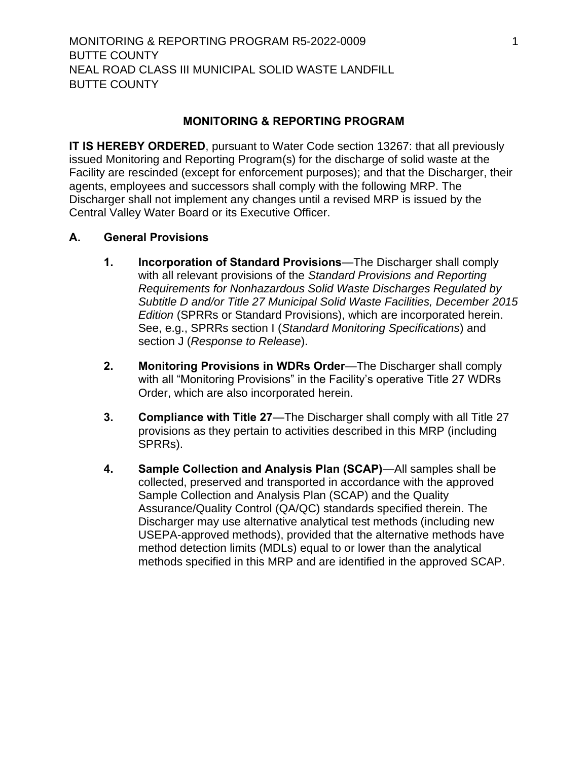## <span id="page-11-6"></span>**MONITORING & REPORTING PROGRAM**

<span id="page-11-0"></span>**IT IS HEREBY ORDERED**, pursuant to Water Code section 13267: that all previously issued Monitoring and Reporting Program(s) for the discharge of solid waste at the Facility are rescinded (except for enforcement purposes); and that the Discharger, their agents, employees and successors shall comply with the following MRP. The [Discharger](#page-11-6) shall not implement any changes until a revised MRP is issued by the Central Valley Water Board or its Executive Officer.

## <span id="page-11-2"></span><span id="page-11-1"></span>**A. General Provisions**

- **1. Incorporation of Standard Provisions**—The [Discharger](#page-11-6) shall comply with all relevant provisions of the *Standard Provisions and Reporting Requirements for Nonhazardous Solid Waste Discharges Regulated by Subtitle D and/or Title 27 Municipal Solid Waste Facilities, December 2015 Edition* (SPRRs or Standard Provisions), which are incorporated herein. See, e.g., SPRRs section I (*Standard Monitoring Specifications*) and section J (*Response to Release*).
- <span id="page-11-3"></span>**2. Monitoring Provisions in WDRs Order**—The [Discharger](#page-11-6) shall comply with all "Monitoring Provisions" in the Facility's operative Title 27 WDRs Order, which are also incorporated herein.
- <span id="page-11-4"></span>**3. Compliance with Title 27**—The [Discharger](#page-11-6) shall comply with all Title 27 provisions as they pertain to activities described in this MRP (including SPRRs).
- <span id="page-11-5"></span>**4. Sample Collection and Analysis Plan (SCAP)**—All samples shall be collected, preserved and transported in accordance with the approved Sample Collection and Analysis Plan (SCAP) and the Quality Assurance/Quality Control (QA/QC) standards specified therein. The [Discharger](#page-11-6) may use alternative analytical test methods (including new USEPA-approved methods), provided that the alternative methods have method detection limits (MDLs) equal to or lower than the analytical methods specified in this MRP and are identified in the approved SCAP.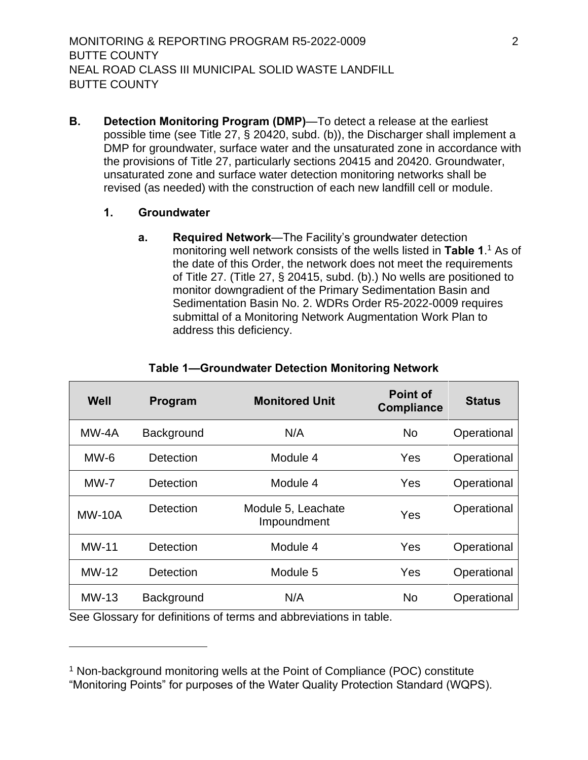<span id="page-12-0"></span>**B. Detection Monitoring Program (DMP)**—To detect a release at the earliest possible time (see Title 27, § 20420, subd. (b)), the [Discharger](#page-11-6) shall implement a DMP for groundwater, surface water and the unsaturated zone in accordance with the provisions of Title 27, particularly sections 20415 and 20420. Groundwater, unsaturated zone and surface water detection monitoring networks shall be revised (as needed) with the construction of each new landfill cell or module.

#### <span id="page-12-2"></span><span id="page-12-1"></span>**1. Groundwater**

**a. Required Network**—The Facility's groundwater detection monitoring well network consists of the wells listed in [Table 1](#page-12-3).<sup>1</sup> As of the date of this Order, the network does not meet the requirements of Title 27. (Title 27, § 20415, subd. (b).) No wells are positioned to monitor downgradient of the Primary Sedimentation Basin and Sedimentation Basin No. 2. WDRs Order R5-2022-0009 requires submittal of a Monitoring Network Augmentation Work Plan to address this deficiency.

<span id="page-12-3"></span>

| Well              | Program          | <b>Monitored Unit</b>             | <b>Point of</b><br><b>Compliance</b> | <b>Status</b> |
|-------------------|------------------|-----------------------------------|--------------------------------------|---------------|
| MW-4A             | Background       | N/A                               | <b>No</b>                            | Operational   |
| $MW-6$            | Detection        | Module 4                          | Yes                                  | Operational   |
| $MW-7$            | Detection        | Module 4                          | Yes                                  | Operational   |
| <b>MW-10A</b>     | <b>Detection</b> | Module 5, Leachate<br>Impoundment | Yes                                  | Operational   |
| $MW-11$           | Detection        | Module 4                          | Yes                                  | Operational   |
| <b>MW-12</b>      | Detection        | Module 5                          | Yes                                  | Operational   |
| MW-13<br>$\sim$ . | Background<br>.  | N/A<br>$\sim$<br>.<br>.           | <b>No</b>                            | Operational   |

#### **Table 1—Groundwater Detection Monitoring Network**

See Glossary for definitions of terms and abbreviations in table.

<sup>&</sup>lt;sup>1</sup> Non-background monitoring wells at the Point of Compliance (POC) constitute "Monitoring Points" for purposes of the Water Quality Protection Standard (WQPS).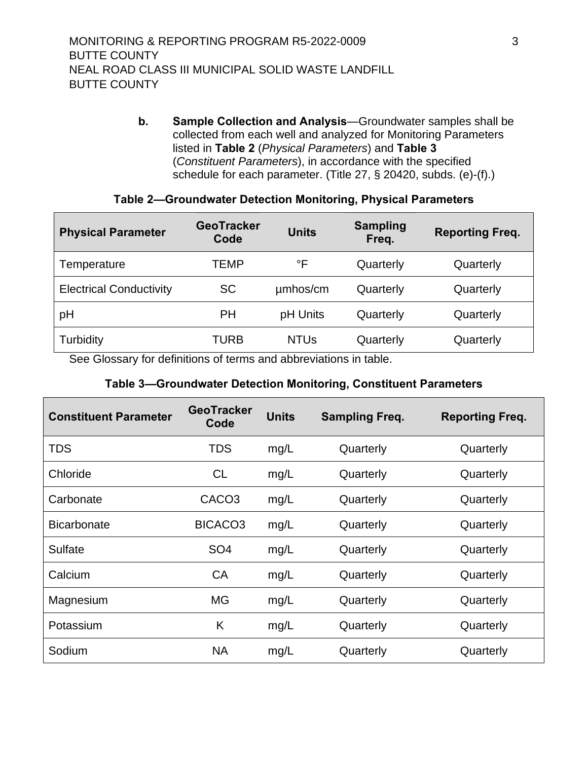<span id="page-13-0"></span>**b. Sample Collection and Analysis**—Groundwater samples shall be collected from each well and analyzed for Monitoring Parameters listed in **[Table 2](#page-13-1)** (*Physical Parameters*) and **[Table 3](#page-13-2)** (*Constituent Parameters*), in accordance with the specified schedule for each parameter. (Title 27, § 20420, subds. (e)-(f).)

#### **Table 2—Groundwater Detection Monitoring, Physical Parameters**

<span id="page-13-1"></span>

| <b>Physical Parameter</b>      | <b>GeoTracker</b><br>Code | <b>Units</b> | <b>Sampling</b><br>Freq. | <b>Reporting Freq.</b> |
|--------------------------------|---------------------------|--------------|--------------------------|------------------------|
| Temperature                    | TEMP                      | °F           | Quarterly                | Quarterly              |
| <b>Electrical Conductivity</b> | <b>SC</b>                 | umhos/cm     | Quarterly                | Quarterly              |
| pH                             | <b>PH</b>                 | pH Units     | Quarterly                | Quarterly              |
| Turbidity                      | TURB                      | <b>NTUs</b>  | Quarterly                | Quarterly              |

<span id="page-13-2"></span>See Glossary for definitions of terms and abbreviations in table.

## **Table 3—Groundwater Detection Monitoring, Constituent Parameters**

| <b>Constituent Parameter</b> | <b>GeoTracker</b><br>Code | <b>Units</b> | <b>Sampling Freq.</b> | <b>Reporting Freq.</b> |
|------------------------------|---------------------------|--------------|-----------------------|------------------------|
| <b>TDS</b>                   | TDS                       | mg/L         | Quarterly             | Quarterly              |
| Chloride                     | CL.                       | mg/L         | Quarterly             | Quarterly              |
| Carbonate                    | CACO <sub>3</sub>         | mg/L         | Quarterly             | Quarterly              |
| <b>Bicarbonate</b>           | BICACO <sub>3</sub>       | mg/L         | Quarterly             | Quarterly              |
| Sulfate                      | SO <sub>4</sub>           | mg/L         | Quarterly             | Quarterly              |
| Calcium                      | CA                        | mg/L         | Quarterly             | Quarterly              |
| Magnesium                    | <b>MG</b>                 | mg/L         | Quarterly             | Quarterly              |
| Potassium                    | K                         | mg/L         | Quarterly             | Quarterly              |
| Sodium                       | NA                        | mg/L         | Quarterly             | Quarterly              |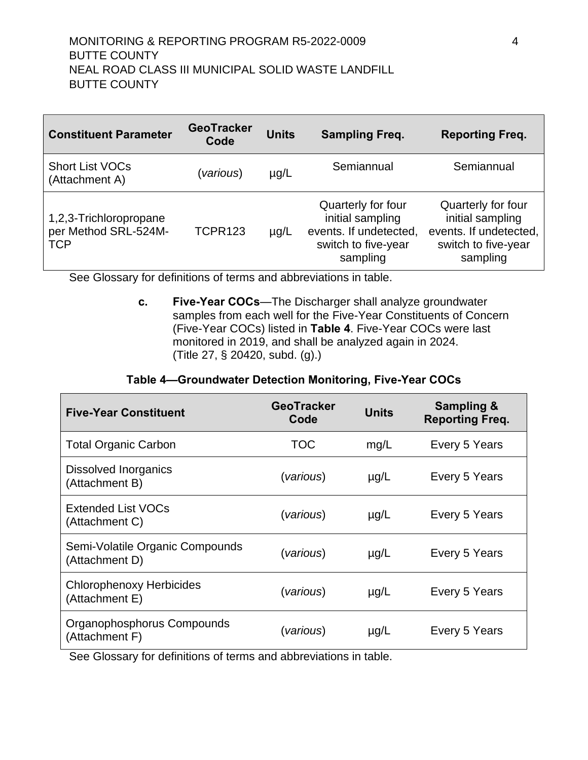| <b>Constituent Parameter</b>                                 | <b>GeoTracker</b><br>Code | <b>Units</b> | <b>Sampling Freq.</b>                                                                               | <b>Reporting Freq.</b>                                                                              |
|--------------------------------------------------------------|---------------------------|--------------|-----------------------------------------------------------------------------------------------------|-----------------------------------------------------------------------------------------------------|
| <b>Short List VOCs</b><br>(Attachment A)                     | <i>various</i> )          | $\mu$ g/L    | Semiannual                                                                                          | Semiannual                                                                                          |
| 1,2,3-Trichloropropane<br>per Method SRL-524M-<br><b>TCP</b> | TCPR123                   | $\mu$ g/L    | Quarterly for four<br>initial sampling<br>events. If undetected,<br>switch to five-year<br>sampling | Quarterly for four<br>initial sampling<br>events. If undetected,<br>switch to five-year<br>sampling |

<span id="page-14-0"></span>See Glossary for definitions of terms and abbreviations in table.

**c. Five-Year COCs**—The [Discharger](#page-11-6) shall analyze groundwater samples from each well for the Five-Year Constituents of Concern (Five-Year COCs) listed in **[Table 4](#page-14-1)**. Five-Year COCs were last monitored in 2019, and shall be analyzed again in 2024. (Title 27, § 20420, subd. (g).)

#### **Table 4—Groundwater Detection Monitoring, Five-Year COCs**

<span id="page-14-1"></span>

| <b>Five-Year Constituent</b>                      | <b>GeoTracker</b><br>Code | <b>Units</b> | <b>Sampling &amp;</b><br><b>Reporting Freq.</b> |
|---------------------------------------------------|---------------------------|--------------|-------------------------------------------------|
| <b>Total Organic Carbon</b>                       | TOC                       | mg/L         | Every 5 Years                                   |
| Dissolved Inorganics<br>(Attachment B)            | (various)                 | $\mu$ g/L    | Every 5 Years                                   |
| <b>Extended List VOCs</b><br>(Attachment C)       | (various)                 | $\mu$ g/L    | Every 5 Years                                   |
| Semi-Volatile Organic Compounds<br>(Attachment D) | (various)                 | $\mu$ g/L    | Every 5 Years                                   |
| <b>Chlorophenoxy Herbicides</b><br>(Attachment E) | (various)                 | $\mu$ g/L    | Every 5 Years                                   |
| Organophosphorus Compounds<br>(Attachment F)      | (various)                 | $\mu$ g/L    | Every 5 Years                                   |

See Glossary for definitions of terms and abbreviations in table.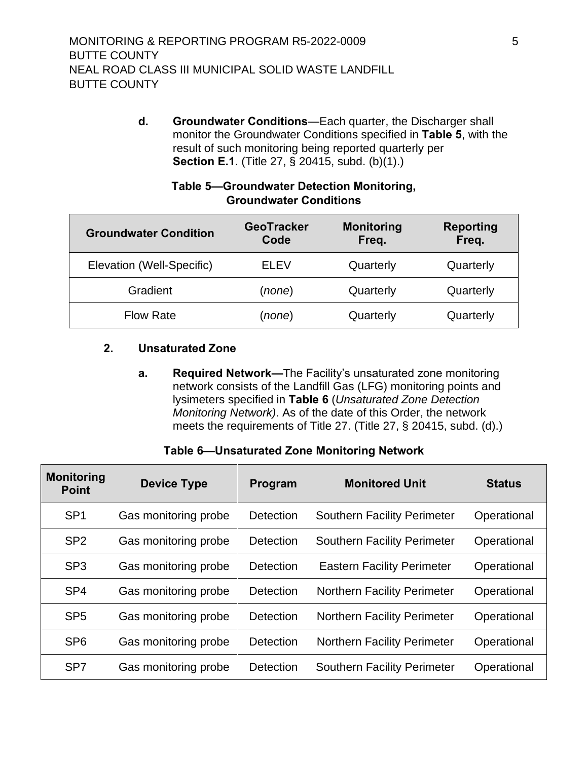<span id="page-15-0"></span>**d. Groundwater Conditions**—Each quarter, the [Discharger](#page-11-6) shall monitor the Groundwater Conditions specified in **[Table 5](#page-15-1)**, with the result of such monitoring being reported quarterly per **Section E.1**. (Title 27, § 20415, subd. (b)(1).)

<span id="page-15-1"></span>

| <b>Groundwater Condition</b> | <b>GeoTracker</b><br>Code | <b>Monitoring</b><br>Freq. | <b>Reporting</b><br>Freq. |  |  |
|------------------------------|---------------------------|----------------------------|---------------------------|--|--|
| Elevation (Well-Specific)    | <b>ELEV</b>               | Quarterly                  | Quarterly                 |  |  |
| Gradient                     | (none)                    | Quarterly                  | Quarterly                 |  |  |
| <b>Flow Rate</b>             | (none)                    | Quarterly                  | Quarterly                 |  |  |

#### **Table 5—Groundwater Detection Monitoring, Groundwater Conditions**

## **2. Unsaturated Zone**

**a. Required Network—**The Facility's unsaturated zone monitoring network consists of the Landfill Gas (LFG) monitoring points and lysimeters specified in **Table 6** (*Unsaturated Zone Detection Monitoring Network)*. As of the date of this Order, the network meets the requirements of Title 27. (Title 27, § 20415, subd. (d).)

# **Table 6—Unsaturated Zone Monitoring Network**

| <b>Monitoring</b><br><b>Point</b> | <b>Device Type</b>   | Program          | <b>Monitored Unit</b>              | <b>Status</b> |
|-----------------------------------|----------------------|------------------|------------------------------------|---------------|
| SP <sub>1</sub>                   | Gas monitoring probe | Detection        | <b>Southern Facility Perimeter</b> | Operational   |
| SP <sub>2</sub>                   | Gas monitoring probe | Detection        | <b>Southern Facility Perimeter</b> | Operational   |
| SP <sub>3</sub>                   | Gas monitoring probe | <b>Detection</b> | <b>Eastern Facility Perimeter</b>  | Operational   |
| SP <sub>4</sub>                   | Gas monitoring probe | Detection        | <b>Northern Facility Perimeter</b> | Operational   |
| SP <sub>5</sub>                   | Gas monitoring probe | Detection        | <b>Northern Facility Perimeter</b> | Operational   |
| SP <sub>6</sub>                   | Gas monitoring probe | Detection        | <b>Northern Facility Perimeter</b> | Operational   |
| SP <sub>7</sub>                   | Gas monitoring probe | <b>Detection</b> | <b>Southern Facility Perimeter</b> | Operational   |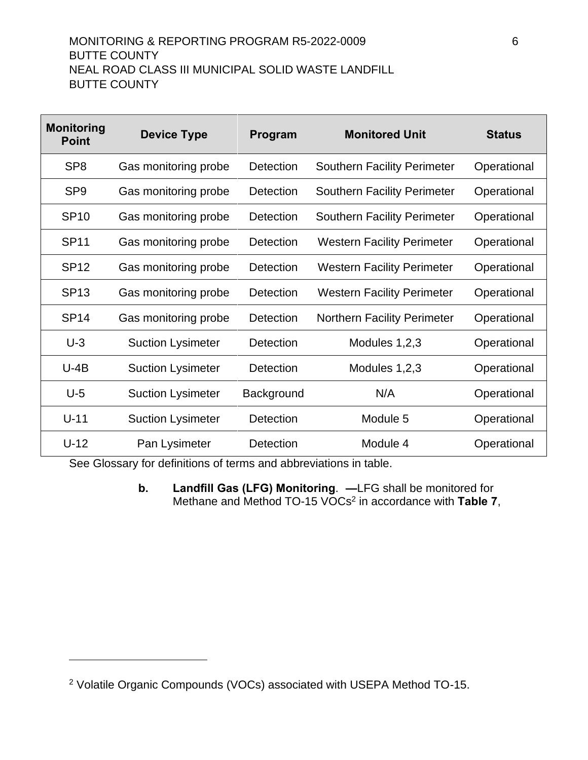# MONITORING & REPORTING PROGRAM R5-2022-0009 6 BUTTE COUNTY NEAL ROAD CLASS III MUNICIPAL SOLID WASTE LANDFILL BUTTE COUNTY

| <b>Monitoring</b><br><b>Point</b> | <b>Device Type</b>       | Program    | <b>Monitored Unit</b>              | <b>Status</b> |
|-----------------------------------|--------------------------|------------|------------------------------------|---------------|
| SP <sub>8</sub>                   | Gas monitoring probe     | Detection  | <b>Southern Facility Perimeter</b> | Operational   |
| SP <sub>9</sub>                   | Gas monitoring probe     | Detection  | <b>Southern Facility Perimeter</b> | Operational   |
| <b>SP10</b>                       | Gas monitoring probe     | Detection  | <b>Southern Facility Perimeter</b> | Operational   |
| <b>SP11</b>                       | Gas monitoring probe     | Detection  | <b>Western Facility Perimeter</b>  | Operational   |
| <b>SP12</b>                       | Gas monitoring probe     | Detection  | <b>Western Facility Perimeter</b>  | Operational   |
| <b>SP13</b>                       | Gas monitoring probe     | Detection  | <b>Western Facility Perimeter</b>  | Operational   |
| <b>SP14</b>                       | Gas monitoring probe     | Detection  | <b>Northern Facility Perimeter</b> | Operational   |
| $U-3$                             | <b>Suction Lysimeter</b> | Detection  | Modules 1,2,3                      | Operational   |
| $U-4B$                            | <b>Suction Lysimeter</b> | Detection  | Modules 1,2,3                      | Operational   |
| $U-5$                             | <b>Suction Lysimeter</b> | Background | N/A                                | Operational   |
| $U-11$                            | <b>Suction Lysimeter</b> | Detection  | Module 5                           | Operational   |
| $U-12$                            | Pan Lysimeter            | Detection  | Module 4                           | Operational   |

See Glossary for definitions of terms and abbreviations in table.

**b. Landfill Gas (LFG) Monitoring**. **—**LFG shall be monitored for Methane and Method TO-15 VOCs<sup>2</sup> in accordance with **Table 7**,

<sup>&</sup>lt;sup>2</sup> Volatile Organic Compounds (VOCs) associated with USEPA Method TO-15.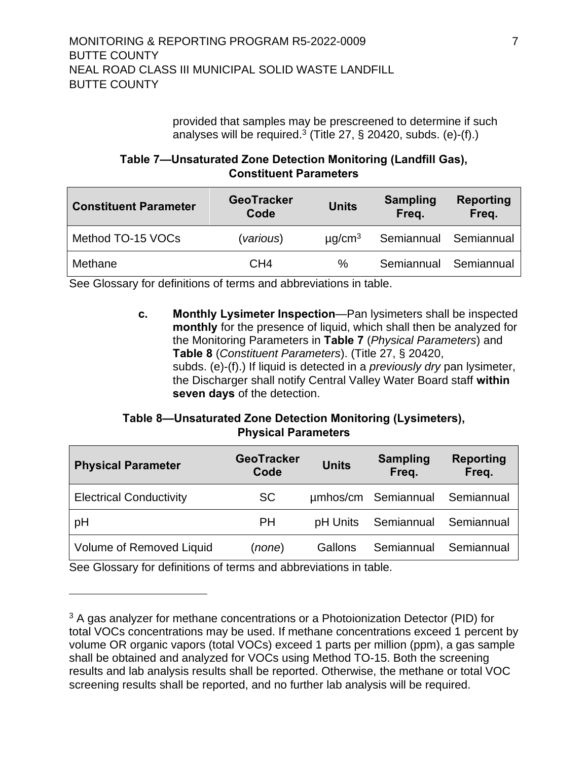provided that samples may be prescreened to determine if such analyses will be required.<sup>3</sup> (Title 27,  $\S$  20420, subds. (e)-(f).)

## **Table 7—Unsaturated Zone Detection Monitoring (Landfill Gas), Constituent Parameters**

| <b>Constituent Parameter</b> | <b>GeoTracker</b><br>Code | <b>Units</b>            | <b>Sampling</b><br>Freq. | Reporting<br>Freq. |
|------------------------------|---------------------------|-------------------------|--------------------------|--------------------|
| Method TO-15 VOCs            | (various)                 | $\mu$ g/cm <sup>3</sup> | Semiannual Semiannual    |                    |
| Methane                      | CH4                       | ℅                       | Semiannual Semiannual    |                    |

<span id="page-17-0"></span>See Glossary for definitions of terms and abbreviations in table.

**c. Monthly Lysimeter Inspection**—Pan lysimeters shall be inspected **monthly** for the presence of liquid, which shall then be analyzed for the Monitoring Parameters in **Table 7** (*Physical Parameters*) and **[Table 8](#page-18-1)** (*Constituent Parameters*). (Title 27, § 20420, subds. (e)-(f).) If liquid is detected in a *previously dry* pan lysimeter, the [Discharger](#page-11-6) shall notify Central Valley Water Board staff **within seven days** of the detection.

## **Table 8—Unsaturated Zone Detection Monitoring (Lysimeters), Physical Parameters**

| <b>Physical Parameter</b>      | <b>GeoTracker</b><br>Code | <b>Units</b> | <b>Sampling</b><br>Freq. | <b>Reporting</b><br>Freq. |
|--------------------------------|---------------------------|--------------|--------------------------|---------------------------|
| <b>Electrical Conductivity</b> | <b>SC</b>                 |              | umhos/cm Semiannual      | Semiannual                |
| pH                             | PH                        | pH Units     | Semiannual               | Semiannual                |
| Volume of Removed Liquid       | (none)                    | Gallons      | Semiannual               | Semiannual                |

See Glossary for definitions of terms and abbreviations in table.

<sup>&</sup>lt;sup>3</sup> A gas analyzer for methane concentrations or a Photoionization Detector (PID) for total VOCs concentrations may be used. If methane concentrations exceed 1 percent by volume OR organic vapors (total VOCs) exceed 1 parts per million (ppm), a gas sample shall be obtained and analyzed for VOCs using Method TO-15. Both the screening results and lab analysis results shall be reported. Otherwise, the methane or total VOC screening results shall be reported, and no further lab analysis will be required.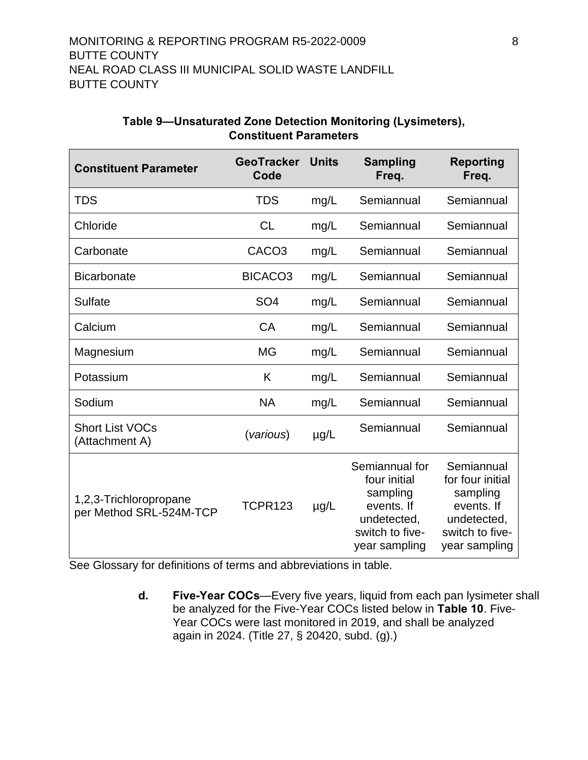<span id="page-18-1"></span>

| <b>Constituent Parameter</b>                      | <b>GeoTracker</b><br>Code | <b>Units</b> | <b>Sampling</b><br>Freq.                                                                                    | Reporting<br>Freq.                                                                                          |
|---------------------------------------------------|---------------------------|--------------|-------------------------------------------------------------------------------------------------------------|-------------------------------------------------------------------------------------------------------------|
| <b>TDS</b>                                        | <b>TDS</b>                | mg/L         | Semiannual                                                                                                  | Semiannual                                                                                                  |
| Chloride                                          | <b>CL</b>                 | mg/L         | Semiannual                                                                                                  | Semiannual                                                                                                  |
| Carbonate                                         | CACO <sub>3</sub>         | mg/L         | Semiannual                                                                                                  | Semiannual                                                                                                  |
| <b>Bicarbonate</b>                                | BICACO <sub>3</sub>       | mg/L         | Semiannual                                                                                                  | Semiannual                                                                                                  |
| Sulfate                                           | SO <sub>4</sub>           | mg/L         | Semiannual                                                                                                  | Semiannual                                                                                                  |
| Calcium                                           | <b>CA</b>                 | mg/L         | Semiannual                                                                                                  | Semiannual                                                                                                  |
| Magnesium                                         | <b>MG</b>                 | mg/L         | Semiannual                                                                                                  | Semiannual                                                                                                  |
| Potassium                                         | K                         | mg/L         | Semiannual                                                                                                  | Semiannual                                                                                                  |
| Sodium                                            | <b>NA</b>                 | mg/L         | Semiannual                                                                                                  | Semiannual                                                                                                  |
| <b>Short List VOCs</b><br>(Attachment A)          | (various)                 | $\mu$ g/L    | Semiannual                                                                                                  | Semiannual                                                                                                  |
| 1,2,3-Trichloropropane<br>per Method SRL-524M-TCP | <b>TCPR123</b>            | $\mu$ g/L    | Semiannual for<br>four initial<br>sampling<br>events. If<br>undetected,<br>switch to five-<br>year sampling | Semiannual<br>for four initial<br>sampling<br>events. If<br>undetected,<br>switch to five-<br>year sampling |

#### **Table 9—Unsaturated Zone Detection Monitoring (Lysimeters), Constituent Parameters**

<span id="page-18-0"></span>See Glossary for definitions of terms and abbreviations in table.

**d. Five-Year COCs**—Every five years, liquid from each pan lysimeter shall be analyzed for the Five-Year COCs listed below in **Table 10**. Five-Year COCs were last monitored in 2019, and shall be analyzed again in 2024. (Title 27, § 20420, subd. (g).)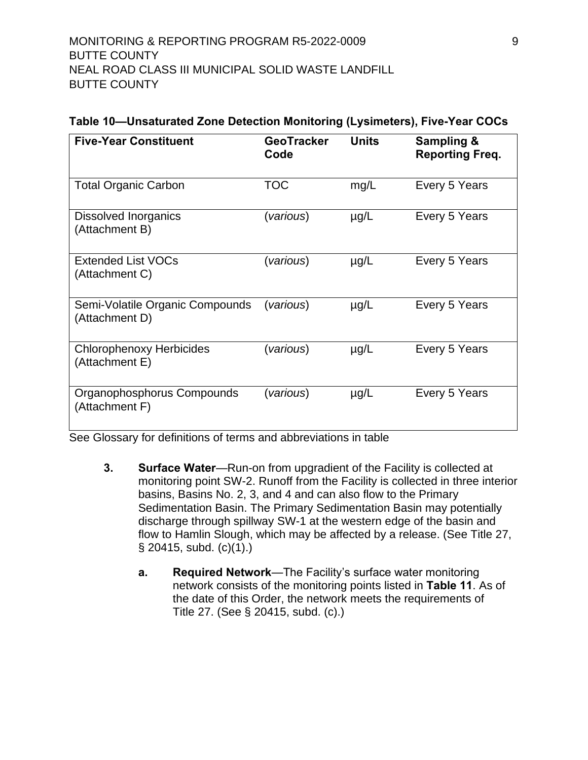| Table 10-Unsaturated Zone Detection Monitoring (Lysimeters), Five-Year COCs |  |  |
|-----------------------------------------------------------------------------|--|--|
|-----------------------------------------------------------------------------|--|--|

| <b>Five-Year Constituent</b>                      | <b>GeoTracker</b><br>Code | <b>Units</b> | Sampling &<br>Reporting Freq. |
|---------------------------------------------------|---------------------------|--------------|-------------------------------|
| <b>Total Organic Carbon</b>                       | <b>TOC</b>                | mg/L         | Every 5 Years                 |
| <b>Dissolved Inorganics</b><br>(Attachment B)     | (various)                 | $\mu$ g/L    | Every 5 Years                 |
| <b>Extended List VOCs</b><br>(Attachment C)       | (various)                 | $\mu$ g/L    | Every 5 Years                 |
| Semi-Volatile Organic Compounds<br>(Attachment D) | (various)                 | $\mu$ g/L    | Every 5 Years                 |
| <b>Chlorophenoxy Herbicides</b><br>(Attachment E) | (various)                 | $\mu$ g/L    | Every 5 Years                 |
| Organophosphorus Compounds<br>(Attachment F)      | (various)                 | $\mu$ g/L    | Every 5 Years                 |

<span id="page-19-0"></span>See Glossary for definitions of terms and abbreviations in table

- <span id="page-19-1"></span>**3. Surface Water**—Run-on from upgradient of the Facility is collected at monitoring point SW-2. Runoff from the Facility is collected in three interior basins, Basins No. 2, 3, and 4 and can also flow to the Primary Sedimentation Basin. The Primary Sedimentation Basin may potentially discharge through spillway SW-1 at the western edge of the basin and flow to Hamlin Slough, which may be affected by a release. (See Title 27, § 20415, subd. (c)(1).)
	- **a. Required Network**—The Facility's surface water monitoring network consists of the monitoring points listed in **Table 11**. As of the date of this Order, the network meets the requirements of Title 27. (See § 20415, subd. (c).)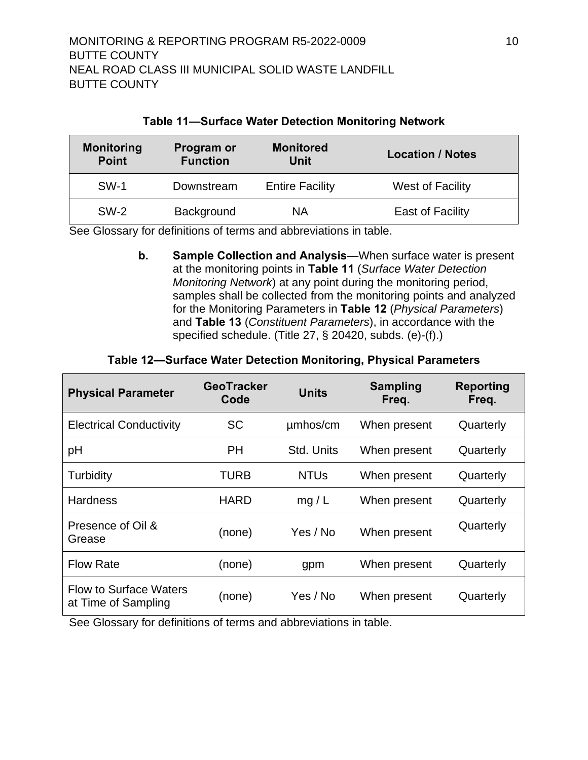<span id="page-20-2"></span>

| <b>Monitoring</b><br><b>Point</b> | <b>Program or</b><br><b>Function</b> | <b>Monitored</b><br>Unit | <b>Location / Notes</b> |
|-----------------------------------|--------------------------------------|--------------------------|-------------------------|
| <b>SW-1</b>                       | Downstream                           | <b>Entire Facility</b>   | <b>West of Facility</b> |
| $SW-2$                            | Background                           | ΝA                       | East of Facility        |

#### **Table 11—Surface Water Detection Monitoring Network**

<span id="page-20-0"></span>See Glossary for definitions of terms and abbreviations in table.

**b. Sample Collection and Analysis**—When surface water is present at the monitoring points in **[Table](#page-20-2) 11** (*Surface Water Detection Monitoring Network*) at any point during the monitoring period, samples shall be collected from the monitoring points and analyzed for the Monitoring Parameters in **Table 12** (*Physical Parameters*) and **Table 13** (*Constituent Parameters*), in accordance with the specified schedule. (Title 27, § 20420, subds. (e)-(f).)

#### **Table 12—Surface Water Detection Monitoring, Physical Parameters**

<span id="page-20-1"></span>

| <b>Physical Parameter</b>                            | <b>GeoTracker</b><br>Code | <b>Units</b> | <b>Sampling</b><br>Freq. | Reporting<br>Freq. |
|------------------------------------------------------|---------------------------|--------------|--------------------------|--------------------|
| <b>Electrical Conductivity</b>                       | <b>SC</b>                 | umhos/cm     | When present             | Quarterly          |
| pH                                                   | PH                        | Std. Units   | When present             | Quarterly          |
| Turbidity                                            | TURB                      | <b>NTUs</b>  | When present             | Quarterly          |
| <b>Hardness</b>                                      | <b>HARD</b>               | mg/L         | When present             | Quarterly          |
| Presence of Oil &<br>Grease                          | (none)                    | Yes / No     | When present             | Quarterly          |
| <b>Flow Rate</b>                                     | (none)                    | gpm          | When present             | Quarterly          |
| <b>Flow to Surface Waters</b><br>at Time of Sampling | (none)                    | Yes / No     | When present             | Quarterly          |

See Glossary for definitions of terms and abbreviations in table.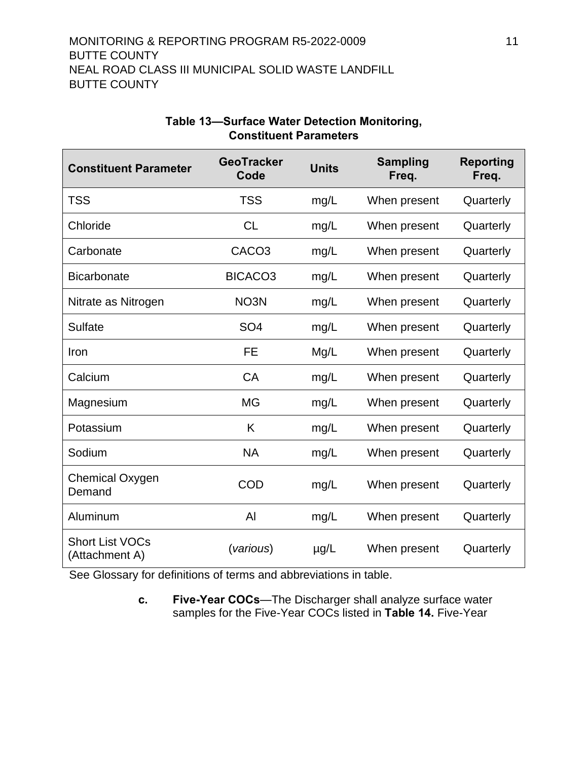| <b>Constituent Parameter</b>             | <b>GeoTracker</b><br>Code | <b>Units</b> | <b>Sampling</b><br>Freq. | <b>Reporting</b><br>Freq. |
|------------------------------------------|---------------------------|--------------|--------------------------|---------------------------|
| <b>TSS</b>                               | <b>TSS</b>                | mg/L         | When present             | Quarterly                 |
| Chloride                                 | <b>CL</b>                 | mg/L         | When present             | Quarterly                 |
| Carbonate                                | CACO <sub>3</sub>         | mg/L         | When present             | Quarterly                 |
| <b>Bicarbonate</b>                       | BICACO <sub>3</sub>       | mg/L         | When present             | Quarterly                 |
| Nitrate as Nitrogen                      | NO <sub>3</sub> N         | mg/L         | When present             | Quarterly                 |
| <b>Sulfate</b>                           | SO <sub>4</sub>           | mg/L         | When present             | Quarterly                 |
| Iron                                     | <b>FE</b>                 | Mg/L         | When present             | Quarterly                 |
| Calcium                                  | CA                        | mg/L         | When present             | Quarterly                 |
| Magnesium                                | <b>MG</b>                 | mg/L         | When present             | Quarterly                 |
| Potassium                                | K                         | mg/L         | When present             | Quarterly                 |
| Sodium                                   | <b>NA</b>                 | mg/L         | When present             | Quarterly                 |
| Chemical Oxygen<br>Demand                | COD                       | mg/L         | When present             | Quarterly                 |
| Aluminum                                 | AI                        | mg/L         | When present             | Quarterly                 |
| <b>Short List VOCs</b><br>(Attachment A) | (various)                 | $\mu$ g/L    | When present             | Quarterly                 |

#### **Table 13—Surface Water Detection Monitoring, Constituent Parameters**

<span id="page-21-0"></span>See Glossary for definitions of terms and abbreviations in table.

**c. Five-Year COCs**—The [Discharger](#page-11-6) shall analyze surface water samples for the Five-Year COCs listed in **Table 14.** Five-Year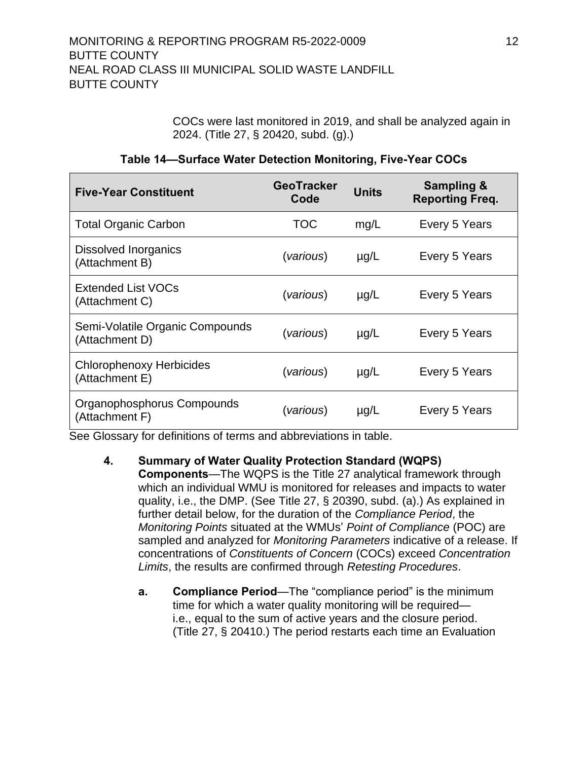COCs were last monitored in 2019, and shall be analyzed again in 2024. (Title 27, § 20420, subd. (g).)

| Table 14-Surface Water Detection Monitoring, Five-Year COCs |  |  |  |
|-------------------------------------------------------------|--|--|--|
|-------------------------------------------------------------|--|--|--|

| <b>Five-Year Constituent</b>                      | <b>GeoTracker</b><br>Code | <b>Units</b> | <b>Sampling &amp;</b><br><b>Reporting Freq.</b> |
|---------------------------------------------------|---------------------------|--------------|-------------------------------------------------|
| <b>Total Organic Carbon</b>                       | TOC                       | mg/L         | Every 5 Years                                   |
| <b>Dissolved Inorganics</b><br>(Attachment B)     | (various)                 | $\mu$ g/L    | Every 5 Years                                   |
| <b>Extended List VOCs</b><br>(Attachment C)       | (various)                 | $\mu$ g/L    | Every 5 Years                                   |
| Semi-Volatile Organic Compounds<br>(Attachment D) | (various)                 | $\mu$ g/L    | Every 5 Years                                   |
| <b>Chlorophenoxy Herbicides</b><br>(Attachment E) | (various)                 | $\mu$ g/L    | Every 5 Years                                   |
| Organophosphorus Compounds<br>(Attachment F)      | (various)                 | $\mu$ g/L    | Every 5 Years                                   |

<span id="page-22-0"></span>See Glossary for definitions of terms and abbreviations in table.

- <span id="page-22-1"></span>**4. Summary of Water Quality Protection Standard (WQPS) Components**—The WQPS is the Title 27 analytical framework through which an individual WMU is monitored for releases and impacts to water quality, i.e., the DMP. (See Title 27, § 20390, subd. (a).) As explained in further detail below, for the duration of the *Compliance Period*, the *Monitoring Points* situated at the WMUs' *Point of Compliance* (POC) are sampled and analyzed for *Monitoring Parameters* indicative of a release. If concentrations of *Constituents of Concern* (COCs) exceed *Concentration Limits*, the results are confirmed through *Retesting Procedures*.
	- **a. Compliance Period**—The "compliance period" is the minimum time for which a water quality monitoring will be required i.e., equal to the sum of active years and the closure period. (Title 27, § 20410.) The period restarts each time an Evaluation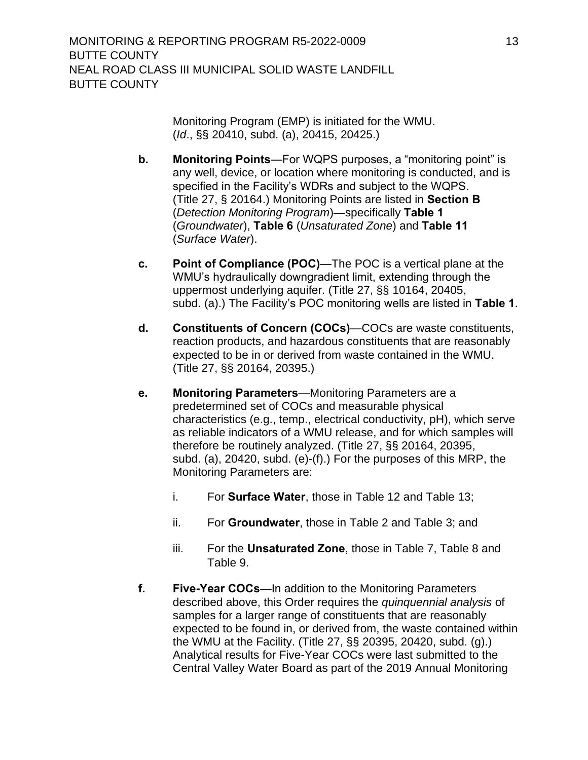Monitoring Program (EMP) is initiated for the WMU. (*Id*., §§ 20410, subd. (a), 20415, 20425.)

- <span id="page-23-0"></span>**b. Monitoring Points**—For WQPS purposes, a "monitoring point" is any well, device, or location where monitoring is conducted, and is specified in the Facility's WDRs and subject to the WQPS. (Title 27, § 20164.) Monitoring Points are listed in **Section B** (*Detection Monitoring Program*)—specifically **[Table 1](#page-12-3)** (*Groundwater*), **Table 6** (*Unsaturated Zone*) and **Table 11** (*Surface Water*).
- <span id="page-23-1"></span>**c. Point of Compliance (POC)**—The POC is a vertical plane at the WMU's hydraulically downgradient limit, extending through the uppermost underlying aquifer. (Title 27, §§ 10164, 20405, subd. (a).) The Facility's POC monitoring wells are listed in **[Table 1](#page-12-3)**.
- <span id="page-23-2"></span>**d. Constituents of Concern (COCs)**—COCs are waste constituents, reaction products, and hazardous constituents that are reasonably expected to be in or derived from waste contained in the WMU. (Title 27, §§ 20164, 20395.)
- <span id="page-23-3"></span>**e. Monitoring Parameters**—Monitoring Parameters are a predetermined set of COCs and measurable physical characteristics (e.g., temp., electrical conductivity, pH), which serve as reliable indicators of a WMU release, and for which samples will therefore be routinely analyzed. (Title 27, §§ 20164, 20395, subd. (a), 20420, subd. (e)-(f).) For the purposes of this MRP, the Monitoring Parameters are:
	- i. For **Surface Water**, those in Table 12 and Table 13;
	- ii. For **Groundwater**, those in [Table 2](#page-13-1) and [Table 3;](#page-13-2) and
	- iii. For the **Unsaturated Zone**, those in Table 7, Table 8 and Table 9.
- <span id="page-23-4"></span>**f. Five-Year COCs**—In addition to the Monitoring Parameters described above, this Order requires the *quinquennial analysis* of samples for a larger range of constituents that are reasonably expected to be found in, or derived from, the waste contained within the WMU at the Facility. (Title 27, §§ 20395, 20420, subd. (g).) Analytical results for Five-Year COCs were last submitted to the Central Valley Water Board as part of the 2019 Annual Monitoring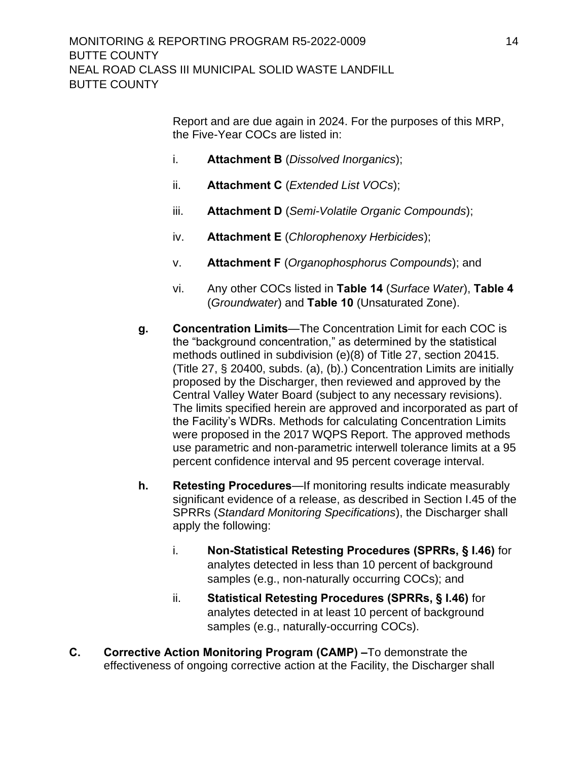Report and are due again in 2024. For the purposes of this MRP, the Five-Year COCs are listed in:

- i. **Attachment B** (*Dissolved Inorganics*);
- ii. **Attachment C** (*Extended List VOCs*);
- iii. **Attachment D** (*Semi-Volatile Organic Compounds*);
- iv. **Attachment E** (*Chlorophenoxy Herbicides*);
- v. **Attachment F** (*Organophosphorus Compounds*); and
- vi. Any other COCs listed in **Table 14** (*Surface Water*), **Table 4** (*Groundwater*) and **Table 10** (Unsaturated Zone).
- <span id="page-24-0"></span>**g. Concentration Limits**—The Concentration Limit for each COC is the "background concentration," as determined by the statistical methods outlined in subdivision (e)(8) of Title 27, section 20415. (Title 27, § 20400, subds. (a), (b).) Concentration Limits are initially proposed by the Discharger, then reviewed and approved by the Central Valley Water Board (subject to any necessary revisions). The limits specified herein are approved and incorporated as part of the Facility's WDRs. Methods for calculating Concentration Limits were proposed in the 2017 WQPS Report. The approved methods use parametric and non-parametric interwell tolerance limits at a 95 percent confidence interval and 95 percent coverage interval.
- <span id="page-24-1"></span>**h. Retesting Procedures**—If monitoring results indicate measurably significant evidence of a release, as described in Section I.45 of the SPRRs (*Standard Monitoring Specifications*), the [Discharger](#page-11-6) shall apply the following:
	- i. **Non-Statistical Retesting Procedures (SPRRs, § I.46)** for analytes detected in less than 10 percent of background samples (e.g., non-naturally occurring COCs); and
	- ii. **Statistical Retesting Procedures (SPRRs, § I.46)** for analytes detected in at least 10 percent of background samples (e.g., naturally-occurring COCs).
- <span id="page-24-2"></span>**C. Corrective Action Monitoring Program (CAMP) –**To demonstrate the effectiveness of ongoing corrective action at the Facility, the Discharger shall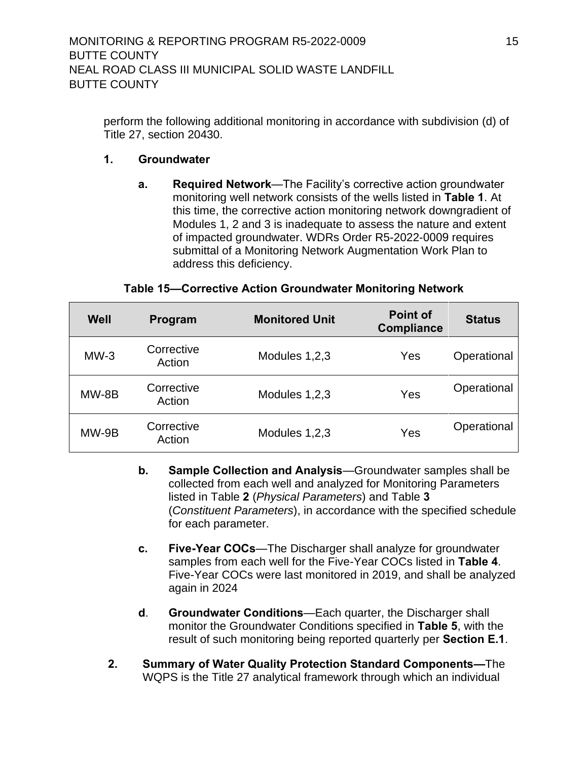perform the following additional monitoring in accordance with subdivision (d) of Title 27, section 20430.

## **1. Groundwater**

**a. Required Network**—The Facility's corrective action groundwater monitoring well network consists of the wells listed in **[Table 1](#page-12-3)**. At this time, the corrective action monitoring network downgradient of Modules 1, 2 and 3 is inadequate to assess the nature and extent of impacted groundwater. WDRs Order R5-2022-0009 requires submittal of a Monitoring Network Augmentation Work Plan to address this deficiency.

#### **Table 15—Corrective Action Groundwater Monitoring Network**

| Well   | Program              | <b>Monitored Unit</b> | <b>Point of</b><br><b>Compliance</b> | <b>Status</b> |
|--------|----------------------|-----------------------|--------------------------------------|---------------|
| $MW-3$ | Corrective<br>Action | Modules 1,2,3         | Yes                                  | Operational   |
| MW-8B  | Corrective<br>Action | Modules 1,2,3         | Yes                                  | Operational   |
| MW-9B  | Corrective<br>Action | Modules 1,2,3         | Yes                                  | Operational   |

- **b. Sample Collection and Analysis**—Groundwater samples shall be collected from each well and analyzed for Monitoring Parameters listed in [Table](#page-13-1) **2** (*Physical Parameters*) and [Table](#page-13-2) **3** (*Constituent Parameters*), in accordance with the specified schedule for each parameter.
- **c. Five-Year COCs**—The [Discharger](#page-11-6) shall analyze for groundwater samples from each well for the Five-Year COCs listed in **[Table 4](#page-14-1)**. Five-Year COCs were last monitored in 2019, and shall be analyzed again in 2024
- **d**. **Groundwater Conditions**—Each quarter, the [Discharger](#page-11-6) shall monitor the Groundwater Conditions specified in **[Table 5](#page-15-1)**, with the result of such monitoring being reported quarterly per **Section E.1**.
- **2. Summary of Water Quality Protection Standard Components—**The WQPS is the Title 27 analytical framework through which an individual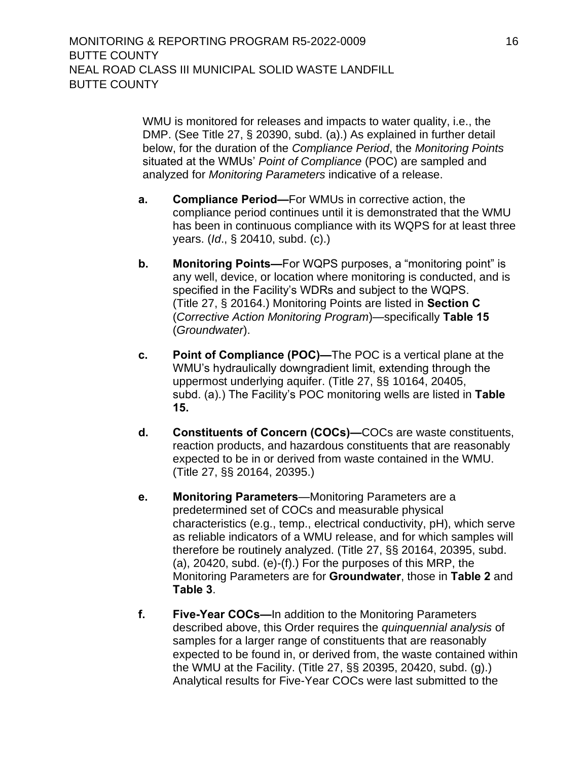WMU is monitored for releases and impacts to water quality, i.e., the DMP. (See Title 27, § 20390, subd. (a).) As explained in further detail below, for the duration of the *Compliance Period*, the *Monitoring Points* situated at the WMUs' *Point of Compliance* (POC) are sampled and analyzed for *Monitoring Parameters* indicative of a release.

- **a. Compliance Period—**For WMUs in corrective action, the compliance period continues until it is demonstrated that the WMU has been in continuous compliance with its WQPS for at least three years. (*Id*., § 20410, subd. (c).)
- **b. Monitoring Points—**For WQPS purposes, a "monitoring point" is any well, device, or location where monitoring is conducted, and is specified in the Facility's WDRs and subject to the WQPS. (Title 27, § 20164.) Monitoring Points are listed in **Section C** (*Corrective Action Monitoring Program*)—specifically **[Table 15](#page-12-3)** (*Groundwater*).
- **c. Point of Compliance (POC)—**The POC is a vertical plane at the WMU's hydraulically downgradient limit, extending through the uppermost underlying aquifer. (Title 27, §§ 10164, 20405, subd. (a).) The Facility's POC monitoring wells are listed in **Table 15.**
- **d. Constituents of Concern (COCs)—**COCs are waste constituents, reaction products, and hazardous constituents that are reasonably expected to be in or derived from waste contained in the WMU. (Title 27, §§ 20164, 20395.)
- **e. Monitoring Parameters**—Monitoring Parameters are a predetermined set of COCs and measurable physical characteristics (e.g., temp., electrical conductivity, pH), which serve as reliable indicators of a WMU release, and for which samples will therefore be routinely analyzed. (Title 27, §§ 20164, 20395, subd. (a), 20420, subd. (e)-(f).) For the purposes of this MRP, the Monitoring Parameters are for **Groundwater**, those in **Table 2** and **Table 3**.
- **f. Five-Year COCs—**In addition to the Monitoring Parameters described above, this Order requires the *quinquennial analysis* of samples for a larger range of constituents that are reasonably expected to be found in, or derived from, the waste contained within the WMU at the Facility. (Title 27, §§ 20395, 20420, subd. (g).) Analytical results for Five-Year COCs were last submitted to the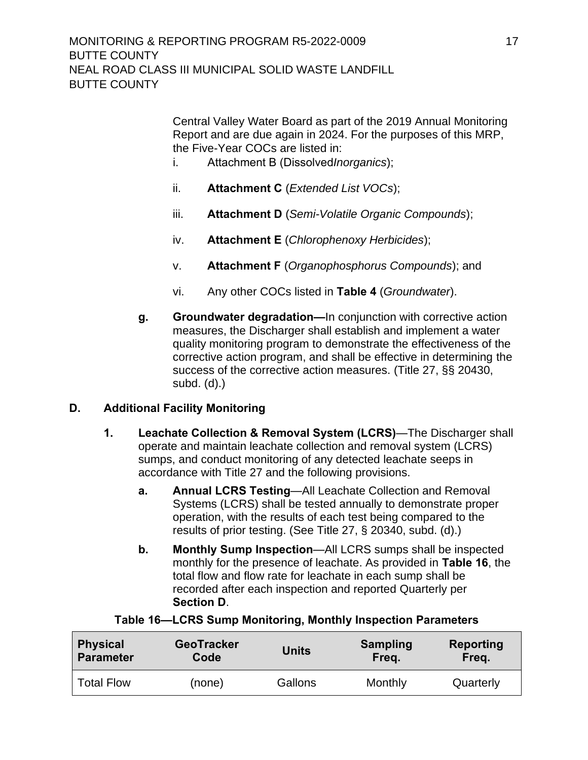Central Valley Water Board as part of the 2019 Annual Monitoring Report and are due again in 2024. For the purposes of this MRP, the Five-Year COCs are listed in:

- i. Attachment B (Dissolved*Inorganics*);
- ii. **Attachment C** (*Extended List VOCs*);
- iii. **Attachment D** (*Semi-Volatile Organic Compounds*);
- iv. **Attachment E** (*Chlorophenoxy Herbicides*);
- v. **Attachment F** (*Organophosphorus Compounds*); and
- vi. Any other COCs listed in **Table 4** (*Groundwater*).
- **g. Groundwater degradation—**In conjunction with corrective action measures, the Discharger shall establish and implement a water quality monitoring program to demonstrate the effectiveness of the corrective action program, and shall be effective in determining the success of the corrective action measures. (Title 27, §§ 20430, subd. (d).)

## **D. Additional Facility Monitoring**

- **1. Leachate Collection & Removal System (LCRS)**[—The](#page-11-6) Discharger shall operate and maintain leachate collection and removal system (LCRS) sumps, and conduct monitoring of any detected leachate seeps in accordance with Title 27 and the following provisions.
	- **a. Annual LCRS Testing**—All Leachate Collection and Removal Systems (LCRS) shall be tested annually to demonstrate proper operation, with the results of each test being compared to the results of prior testing. (See Title 27, § 20340, subd. (d).)
	- **b. Monthly Sump Inspection**—All LCRS sumps shall be inspected monthly for the presence of leachate. As provided in **Table 16**, the total flow and flow rate for leachate in each sump shall be recorded after each inspection and reported Quarterly per **Section D**.

| <b>Physical</b>   | <b>GeoTracker</b> | <b>Units</b> | <b>Sampling</b> | <b>Reporting</b> |
|-------------------|-------------------|--------------|-----------------|------------------|
| <b>Parameter</b>  | Code              |              | Freq.           | Freq.            |
| <b>Total Flow</b> | (none)            | Gallons      | Monthly         | Quarterly        |

#### **Table 16—LCRS Sump Monitoring, Monthly Inspection Parameters**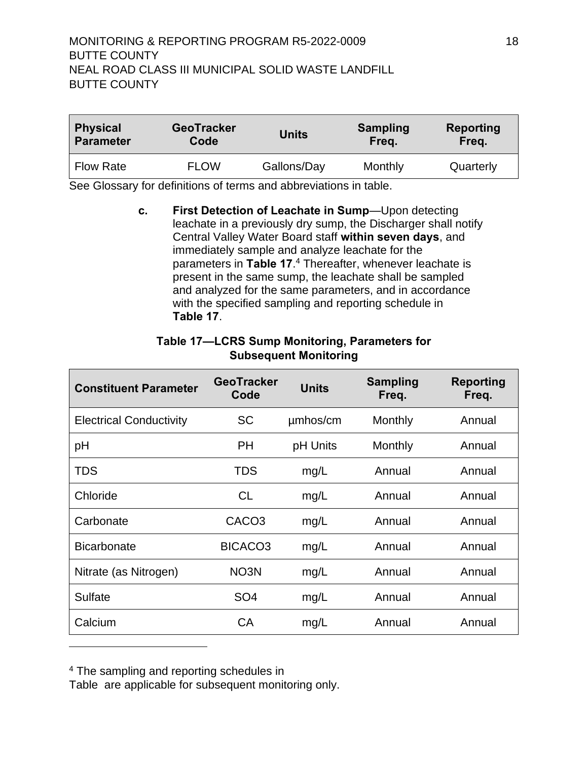# MONITORING & REPORTING PROGRAM R5-2022-0009 18 BUTTE COUNTY NEAL ROAD CLASS III MUNICIPAL SOLID WASTE LANDFILL BUTTE COUNTY

| <b>Physical</b>  | <b>GeoTracker</b> | <b>Units</b> | <b>Sampling</b> | <b>Reporting</b> |
|------------------|-------------------|--------------|-----------------|------------------|
| <b>Parameter</b> | Code              |              | Freq.           | Freq.            |
| <b>Flow Rate</b> | <b>FLOW</b>       | Gallons/Day  | Monthly         | Quarterly        |

See Glossary for definitions of terms and abbreviations in table.

**c. First Detection of Leachate in Sump**—Upon detecting leachate in a previously dry sump, the [Discharger](#page-11-6) shall notify Central Valley Water Board staff **within seven days**, and immediately sample and analyze leachate for the parameters in **Table 17**. <sup>4</sup> Thereafter, whenever leachate is present in the same sump, the leachate shall be sampled and analyzed for the same parameters, and in accordance with the specified sampling and reporting schedule in **Table 17**.

| <b>Constituent Parameter</b>   | <b>GeoTracker</b><br>Code | <b>Units</b> | <b>Sampling</b><br>Freq. | <b>Reporting</b><br>Freq. |
|--------------------------------|---------------------------|--------------|--------------------------|---------------------------|
| <b>Electrical Conductivity</b> | <b>SC</b>                 | umhos/cm     | Monthly                  | Annual                    |
| pH                             | <b>PH</b>                 | pH Units     | Monthly                  | Annual                    |
| <b>TDS</b>                     | <b>TDS</b>                | mg/L         | Annual                   | Annual                    |
| Chloride                       | <b>CL</b>                 | mg/L         | Annual                   | Annual                    |
| Carbonate                      | CACO <sub>3</sub>         | mg/L         | Annual                   | Annual                    |
| <b>Bicarbonate</b>             | BICACO <sub>3</sub>       | mg/L         | Annual                   | Annual                    |
| Nitrate (as Nitrogen)          | NO <sub>3</sub> N         | mg/L         | Annual                   | Annual                    |
| Sulfate                        | SO <sub>4</sub>           | mg/L         | Annual                   | Annual                    |
| Calcium                        | CA                        | mg/L         | Annual                   | Annual                    |

#### <span id="page-28-0"></span>**Table 17—LCRS Sump Monitoring, Parameters for Subsequent Monitoring**

<sup>4</sup>The sampling and reporting schedules in

[Table](#page-28-0) are applicable for subsequent monitoring only.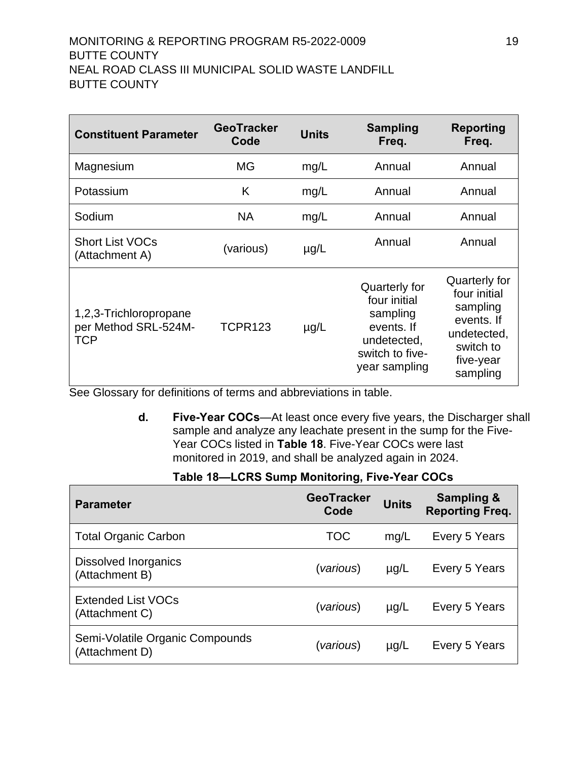# MONITORING & REPORTING PROGRAM R5-2022-0009 19 BUTTE COUNTY NEAL ROAD CLASS III MUNICIPAL SOLID WASTE LANDFILL BUTTE COUNTY

| <b>Constituent Parameter</b>                                 | <b>GeoTracker</b><br>Code | <b>Units</b> | <b>Sampling</b><br>Freq.                                                                                   | <b>Reporting</b><br>Freq.                                                                                    |
|--------------------------------------------------------------|---------------------------|--------------|------------------------------------------------------------------------------------------------------------|--------------------------------------------------------------------------------------------------------------|
| Magnesium                                                    | MG                        | mg/L         | Annual                                                                                                     | Annual                                                                                                       |
| Potassium                                                    | K                         | mg/L         | Annual                                                                                                     | Annual                                                                                                       |
| Sodium                                                       | <b>NA</b>                 | mg/L         | Annual                                                                                                     | Annual                                                                                                       |
| <b>Short List VOCs</b><br>(Attachment A)                     | (various)                 | $\mu$ g/L    | Annual                                                                                                     | Annual                                                                                                       |
| 1,2,3-Trichloropropane<br>per Method SRL-524M-<br><b>TCP</b> | TCPR123                   | $\mu$ g/L    | Quarterly for<br>four initial<br>sampling<br>events. If<br>undetected,<br>switch to five-<br>year sampling | Quarterly for<br>four initial<br>sampling<br>events. If<br>undetected,<br>switch to<br>five-year<br>sampling |

See Glossary for definitions of terms and abbreviations in table.

**d. Five-Year COCs**—At least once every five ye[ars, the](#page-11-6) Discharger shall sample and analyze any leachate present in the sump for the Five-Year COCs listed in **Table 18**. Five-Year COCs were last monitored in 2019, and shall be analyzed again in 2024.

| Table 18—LCRS Sump Monitoring, Five-Year COCs |  |  |
|-----------------------------------------------|--|--|
|-----------------------------------------------|--|--|

| <b>Parameter</b>                                  | <b>GeoTracker</b><br>Code | <b>Units</b> | <b>Sampling &amp;</b><br><b>Reporting Freq.</b> |
|---------------------------------------------------|---------------------------|--------------|-------------------------------------------------|
| <b>Total Organic Carbon</b>                       | <b>TOC</b>                | mg/L         | Every 5 Years                                   |
| <b>Dissolved Inorganics</b><br>(Attachment B)     | (various)                 | $\mu$ g/L    | Every 5 Years                                   |
| <b>Extended List VOCs</b><br>(Attachment C)       | (various)                 | $\mu$ g/L    | Every 5 Years                                   |
| Semi-Volatile Organic Compounds<br>(Attachment D) | (various)                 | $\mu$ g/L    | Every 5 Years                                   |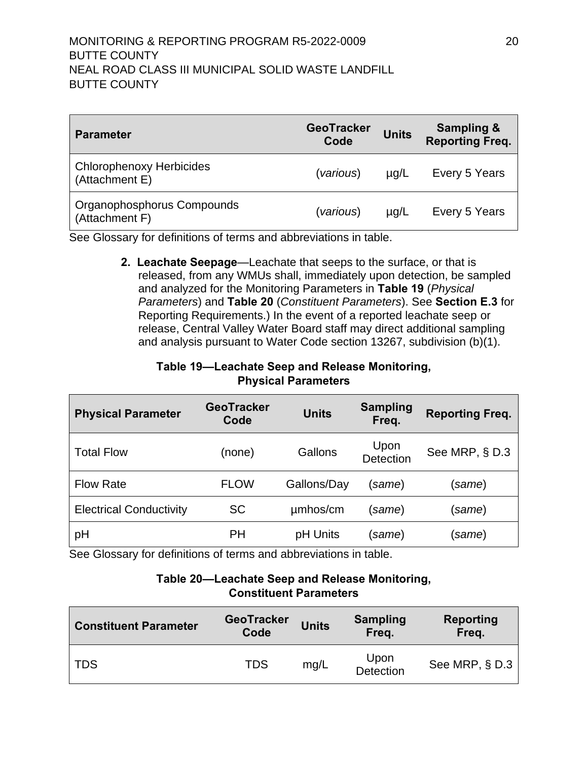## MONITORING & REPORTING PROGRAM R5-2022-0009 20 BUTTE COUNTY NEAL ROAD CLASS III MUNICIPAL SOLID WASTE LANDFILL BUTTE COUNTY

| <b>Parameter</b>                                  | <b>GeoTracker</b><br>Code | <b>Units</b> | <b>Sampling &amp;</b><br><b>Reporting Freq.</b> |
|---------------------------------------------------|---------------------------|--------------|-------------------------------------------------|
| <b>Chlorophenoxy Herbicides</b><br>(Attachment E) | (various)                 | $\mu$ g/L    | Every 5 Years                                   |
| Organophosphorus Compounds<br>(Attachment F)      | (various)                 | $\mu$ g/L    | Every 5 Years                                   |

<span id="page-30-0"></span>See Glossary for definitions of terms and abbreviations in table.

**2. Leachate Seepage**—Leachate that seeps to the surface, or that is released, from any WMUs shall, immediately upon detection, be sampled and analyzed for the Monitoring Parameters in **Table 19** (*Physical Parameters*) and **Table 20** (*Constituent Parameters*). See **Section E.3** for Reporting Requirements.) In the event of a reported leachate seep or release, Central Valley Water Board staff may direct additional sampling and analysis pursuant to Water Code section 13267, subdivision (b)(1).

## **Table 19—Leachate Seep and Release Monitoring, Physical Parameters**

<span id="page-30-1"></span>

| <b>Physical Parameter</b>      | <b>GeoTracker</b><br>Code | <b>Units</b> | <b>Sampling</b><br>Freq. | <b>Reporting Freq.</b> |
|--------------------------------|---------------------------|--------------|--------------------------|------------------------|
| <b>Total Flow</b>              | (none)                    | Gallons      | Upon<br>Detection        | See MRP, § D.3         |
| <b>Flow Rate</b>               | <b>FLOW</b>               | Gallons/Day  | (same)                   | same)                  |
| <b>Electrical Conductivity</b> | <b>SC</b>                 | umhos/cm     | (same)                   | same)                  |
| pH                             | PH                        | pH Units     | (same)                   | same)                  |

<span id="page-30-2"></span>See Glossary for definitions of terms and abbreviations in table.

#### **Table 20—Leachate Seep and Release Monitoring, Constituent Parameters**

| <b>Constituent Parameter</b> | <b>GeoTracker</b><br>Code | <b>Units</b> | <b>Sampling</b><br>Freq. | Reporting<br>Freq. |
|------------------------------|---------------------------|--------------|--------------------------|--------------------|
| l TDS                        | <b>TDS</b>                | mq/L         | Upon<br>Detection        | See MRP, $\S$ D.3  |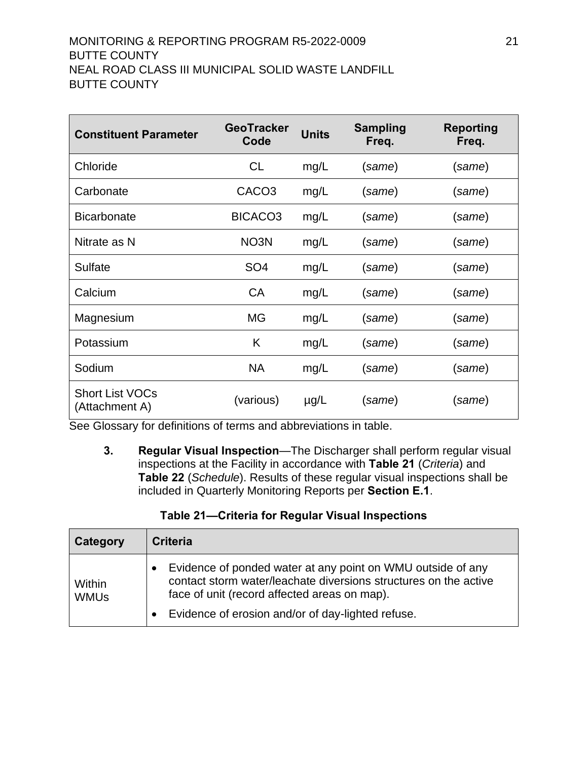# MONITORING & REPORTING PROGRAM R5-2022-0009 21 BUTTE COUNTY NEAL ROAD CLASS III MUNICIPAL SOLID WASTE LANDFILL BUTTE COUNTY

| <b>Constituent Parameter</b>             | <b>GeoTracker</b><br>Code | <b>Units</b> | <b>Sampling</b><br>Freq. | <b>Reporting</b><br>Freq. |
|------------------------------------------|---------------------------|--------------|--------------------------|---------------------------|
| Chloride                                 | <b>CL</b>                 | mg/L         | (same)                   | (same)                    |
| Carbonate                                | CACO <sub>3</sub>         | mg/L         | (same)                   | (same)                    |
| <b>Bicarbonate</b>                       | BICACO <sub>3</sub>       | mg/L         | (same)                   | (same)                    |
| Nitrate as N                             | NO <sub>3</sub> N         | mg/L         | (same)                   | (same)                    |
| <b>Sulfate</b>                           | SO <sub>4</sub>           | mg/L         | (same)                   | (same)                    |
| Calcium                                  | <b>CA</b>                 | mg/L         | (same)                   | (same)                    |
| Magnesium                                | МG                        | mg/L         | (same)                   | (same)                    |
| Potassium                                | K                         | mg/L         | (same)                   | (same)                    |
| Sodium                                   | <b>NA</b>                 | mg/L         | (same)                   | (same)                    |
| <b>Short List VOCs</b><br>(Attachment A) | (various)                 | $\mu$ g/L    | (same)                   | (same)                    |

<span id="page-31-0"></span>See Glossary for definitions of terms and abbreviations in table.

**3. Regular Visual Inspection**—The [Discharger](#page-11-6) shall perform regular visual inspections at the Facility in accordance with **[Table 2](#page-31-1)1** (*Criteria*) and **[Table 2](#page-32-2)2** (*Schedule*). Results of these regular visual inspections shall be included in Quarterly Monitoring Reports per **Section E.1**.

# **Table 21—Criteria for Regular Visual Inspections**

<span id="page-31-1"></span>

| Category              | <b>Criteria</b>                                                                                                                                                                                                                      |
|-----------------------|--------------------------------------------------------------------------------------------------------------------------------------------------------------------------------------------------------------------------------------|
| Within<br><b>WMUs</b> | Evidence of ponded water at any point on WMU outside of any<br>contact storm water/leachate diversions structures on the active<br>face of unit (record affected areas on map).<br>Evidence of erosion and/or of day-lighted refuse. |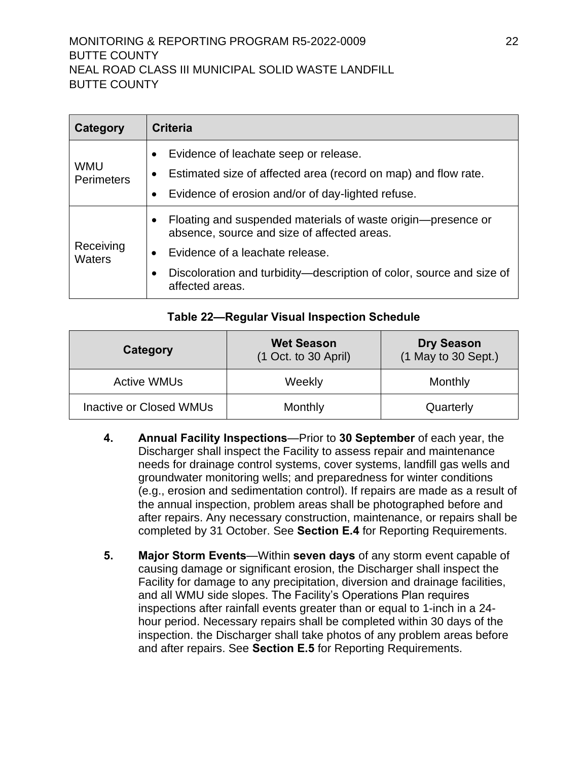## MONITORING & REPORTING PROGRAM R5-2022-0009 22 BUTTE COUNTY NEAL ROAD CLASS III MUNICIPAL SOLID WASTE LANDFILL BUTTE COUNTY

| Category                        | <b>Criteria</b>                                                                                                                                                                                                                                |
|---------------------------------|------------------------------------------------------------------------------------------------------------------------------------------------------------------------------------------------------------------------------------------------|
| <b>WMU</b><br><b>Perimeters</b> | Evidence of leachate seep or release.<br>$\bullet$<br>Estimated size of affected area (record on map) and flow rate.<br>Evidence of erosion and/or of day-lighted refuse.                                                                      |
| Receiving<br><b>Waters</b>      | Floating and suspended materials of waste origin-presence or<br>٠<br>absence, source and size of affected areas.<br>Evidence of a leachate release.<br>Discoloration and turbidity—description of color, source and size of<br>affected areas. |

#### **Table 22—Regular Visual Inspection Schedule**

<span id="page-32-2"></span>

| Category                | <b>Wet Season</b><br>$(1$ Oct. to 30 April) | <b>Dry Season</b><br>(1 May to 30 Sept.) |
|-------------------------|---------------------------------------------|------------------------------------------|
| <b>Active WMUs</b>      | Weekly                                      | Monthly                                  |
| Inactive or Closed WMUs | Monthly                                     | Quarterly                                |

- <span id="page-32-0"></span>**4. Annual Facility Inspections**—Prior to **30 September** of each year, the [Discharger](#page-11-6) shall inspect the Facility to assess repair and maintenance needs for drainage control systems, cover systems, landfill gas wells and groundwater monitoring wells; and preparedness for winter conditions (e.g., erosion and sedimentation control). If repairs are made as a result of the annual inspection, problem areas shall be photographed before and after repairs. Any necessary construction, maintenance, or repairs shall be completed by 31 October. See **Section E.4** for Reporting Requirements.
- <span id="page-32-1"></span>**5. Major Storm Events**—Within **seven days** of any storm event capable of causing damage or significant erosion, the [Discharger](#page-11-6) shall inspect the Facility for damage to any precipitation, diversion and drainage facilities, and all WMU side slopes. The Facility's Operations Plan requires inspections after rainfall events greater than or equal to 1-inch in a 24 hour period. Necessary repairs shall be completed within 30 days of the inspection. the [Discharger](#page-11-6) shall take photos of any problem areas before and after repairs. See **Section E.5** for Reporting Requirements.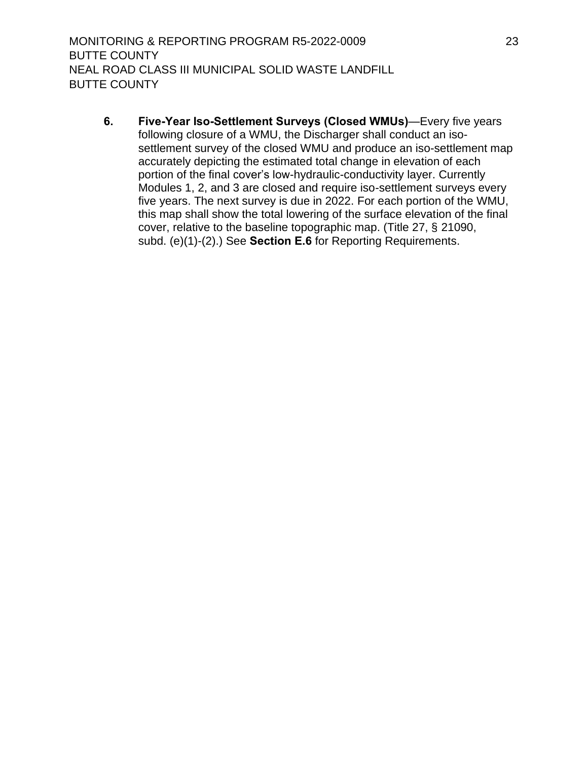MONITORING & REPORTING PROGRAM R5-2022-0009 23 BUTTE COUNTY NEAL ROAD CLASS III MUNICIPAL SOLID WASTE LANDFILL BUTTE COUNTY

<span id="page-33-0"></span>**6. Five-Year Iso-Settlement Surveys (Closed WMUs)**—Every five years following closure of a WMU, the [Discharger](#page-11-6) shall conduct an isosettlement survey of the closed WMU and produce an iso-settlement map accurately depicting the estimated total change in elevation of each portion of the final cover's low-hydraulic-conductivity layer. Currently Modules 1, 2, and 3 are closed and require iso-settlement surveys every five years. The next survey is due in 2022. For each portion of the WMU, this map shall show the total lowering of the surface elevation of the final cover, relative to the baseline topographic map. (Title 27, § 21090, subd. (e)(1)-(2).) See **Section E.6** for Reporting Requirements.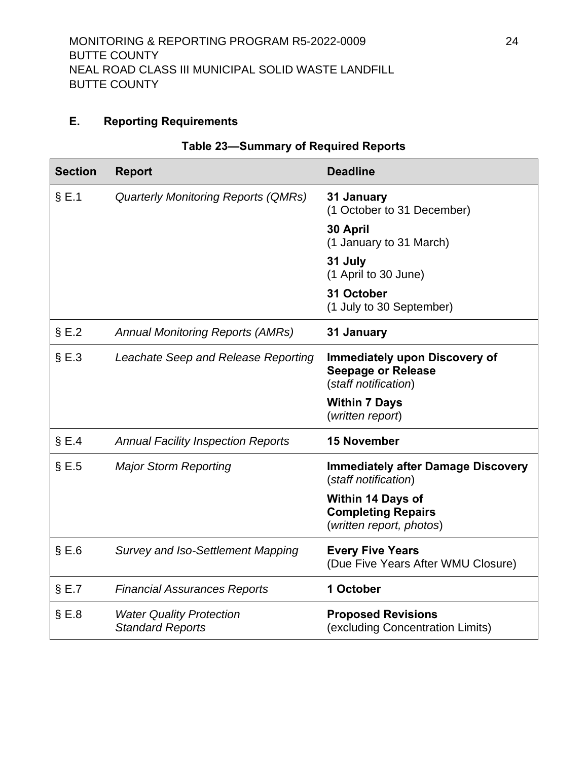## <span id="page-34-0"></span>**E.** Reporting Requirements

<span id="page-34-1"></span>

| <b>Section</b> | <b>Report</b>                                              | <b>Deadline</b>                                                                           |
|----------------|------------------------------------------------------------|-------------------------------------------------------------------------------------------|
| $\S$ E.1       | <b>Quarterly Monitoring Reports (QMRs)</b>                 | 31 January<br>(1 October to 31 December)                                                  |
|                |                                                            | 30 April<br>(1 January to 31 March)                                                       |
|                |                                                            | 31 July<br>(1 April to 30 June)                                                           |
|                |                                                            | 31 October<br>(1 July to 30 September)                                                    |
| $\S E.2$       | <b>Annual Monitoring Reports (AMRs)</b>                    | 31 January                                                                                |
| $\S E.3$       | Leachate Seep and Release Reporting                        | <b>Immediately upon Discovery of</b><br><b>Seepage or Release</b><br>(staff notification) |
|                |                                                            | <b>Within 7 Days</b><br>(written report)                                                  |
| $\S E.4$       | <b>Annual Facility Inspection Reports</b>                  | <b>15 November</b>                                                                        |
| $\S E.5$       | <b>Major Storm Reporting</b>                               | <b>Immediately after Damage Discovery</b><br>(staff notification)                         |
|                |                                                            | <b>Within 14 Days of</b><br><b>Completing Repairs</b><br>(written report, photos)         |
| $\S E.6$       | <b>Survey and Iso-Settlement Mapping</b>                   | <b>Every Five Years</b><br>(Due Five Years After WMU Closure)                             |
| $\S E.7$       | <b>Financial Assurances Reports</b>                        | 1 October                                                                                 |
| $\S E.8$       | <b>Water Quality Protection</b><br><b>Standard Reports</b> | <b>Proposed Revisions</b><br>(excluding Concentration Limits)                             |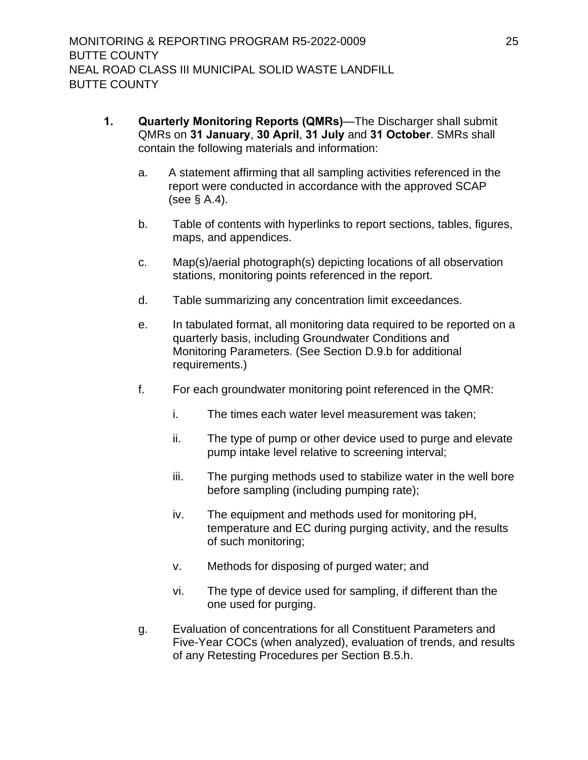- <span id="page-35-0"></span>**1. Quarterly Monitoring Reports (QMRs)**—The [Discharger](#page-11-6) shall submit QMRs on **31 January**, **30 April**, **31 July** and **31 October**. SMRs shall contain the following materials and information:
	- a. A statement affirming that all sampling activities referenced in the report were conducted in accordance with the approved SCAP (see § A.4).
	- b. Table of contents with hyperlinks to report sections, tables, figures, maps, and appendices.
	- c. Map(s)/aerial photograph(s) depicting locations of all observation stations, monitoring points referenced in the report.
	- d. Table summarizing any concentration limit exceedances.
	- e. In tabulated format, all monitoring data required to be reported on a quarterly basis, including Groundwater Conditions and Monitoring Parameters. (See Section D.9.b for additional requirements.)
	- f. For each groundwater monitoring point referenced in the QMR:
		- i. The times each water level measurement was taken;
		- ii. The type of pump or other device used to purge and elevate pump intake level relative to screening interval;
		- iii. The purging methods used to stabilize water in the well bore before sampling (including pumping rate);
		- iv. The equipment and methods used for monitoring pH, temperature and EC during purging activity, and the results of such monitoring;
		- v. Methods for disposing of purged water; and
		- vi. The type of device used for sampling, if different than the one used for purging.
	- g. Evaluation of concentrations for all Constituent Parameters and Five-Year COCs (when analyzed), evaluation of trends, and results of any Retesting Procedures per Section B.5.h.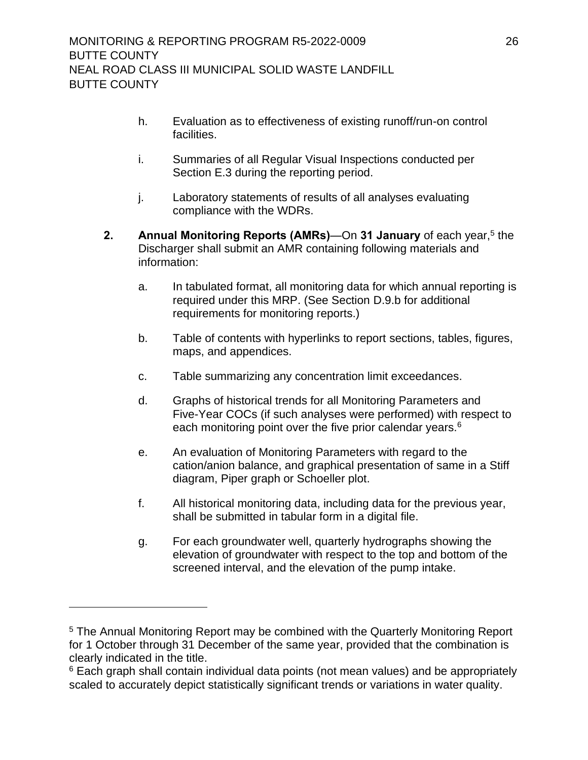- h. Evaluation as to effectiveness of existing runoff/run-on control facilities.
- i. Summaries of all Regular Visual Inspections conducted per Section E.3 during the reporting period.
- j. Laboratory statements of results of all analyses evaluating compliance with the WDRs.
- <span id="page-36-0"></span>**2.** Annual Monitoring Reports (AMRs)—On 31 January of each year,<sup>5</sup> the [Discharger](#page-11-6) shall submit an AMR containing following materials and information:
	- a. In tabulated format, all monitoring data for which annual reporting is required under this MRP. (See Section D.9.b for additional requirements for monitoring reports.)
	- b. Table of contents with hyperlinks to report sections, tables, figures, maps, and appendices.
	- c. Table summarizing any concentration limit exceedances.
	- d. Graphs of historical trends for all Monitoring Parameters and Five-Year COCs (if such analyses were performed) with respect to each monitoring point over the five prior calendar years.<sup>6</sup>
	- e. An evaluation of Monitoring Parameters with regard to the cation/anion balance, and graphical presentation of same in a Stiff diagram, Piper graph or Schoeller plot.
	- f. All historical monitoring data, including data for the previous year, shall be submitted in tabular form in a digital file.
	- g. For each groundwater well, quarterly hydrographs showing the elevation of groundwater with respect to the top and bottom of the screened interval, and the elevation of the pump intake.

<sup>&</sup>lt;sup>5</sup> The Annual Monitoring Report may be combined with the Quarterly Monitoring Report for 1 October through 31 December of the same year, provided that the combination is clearly indicated in the title.

<sup>&</sup>lt;sup>6</sup> Each graph shall contain individual data points (not mean values) and be appropriately scaled to accurately depict statistically significant trends or variations in water quality.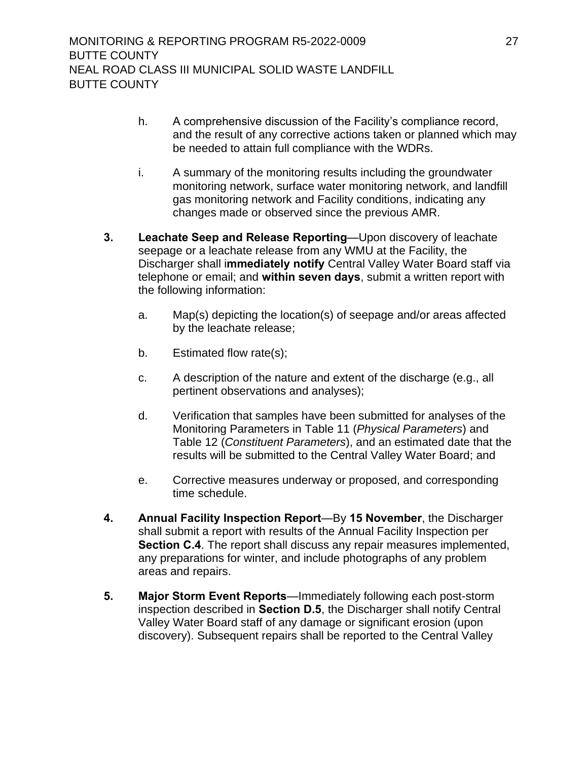- h. A comprehensive discussion of the Facility's compliance record, and the result of any corrective actions taken or planned which may be needed to attain full compliance with the WDRs.
- i. A summary of the monitoring results including the groundwater monitoring network, surface water monitoring network, and landfill gas monitoring network and Facility conditions, indicating any changes made or observed since the previous AMR.
- <span id="page-37-0"></span>**3. Leachate Seep and Release Reporting**—Upon discovery of leachate seepage or a leachate release from any WMU at the Facility, the [Discharger](#page-11-6) shall i**mmediately notify** Central Valley Water Board staff via telephone or email; and **within seven days**, submit a written report with the following information:
	- a. Map(s) depicting the location(s) of seepage and/or areas affected by the leachate release;
	- b. Estimated flow rate(s);
	- c. A description of the nature and extent of the discharge (e.g., all pertinent observations and analyses);
	- d. Verification that samples have been submitted for analyses of the Monitoring Parameters in [Table](#page-30-1) 11 (*Physical Parameters*) and [Table](#page-30-2) 12 (*Constituent Parameters*), and an estimated date that the results will be submitted to the Central Valley Water Board; and
	- e. Corrective measures underway or proposed, and corresponding time schedule.
- <span id="page-37-1"></span>**4. Annual Facility Inspection Report**—By **15 November**, the [Discharger](#page-11-6) shall submit a report with results of the Annual Facility Inspection per **Section C.4**. The report shall discuss any repair measures implemented, any preparations for winter, and include photographs of any problem areas and repairs.
- <span id="page-37-2"></span>**5. Major Storm Event Reports**—Immediately following each post-storm inspection described in **Section D.5**, the [Discharger](#page-11-6) shall notify Central Valley Water Board staff of any damage or significant erosion (upon discovery). Subsequent repairs shall be reported to the Central Valley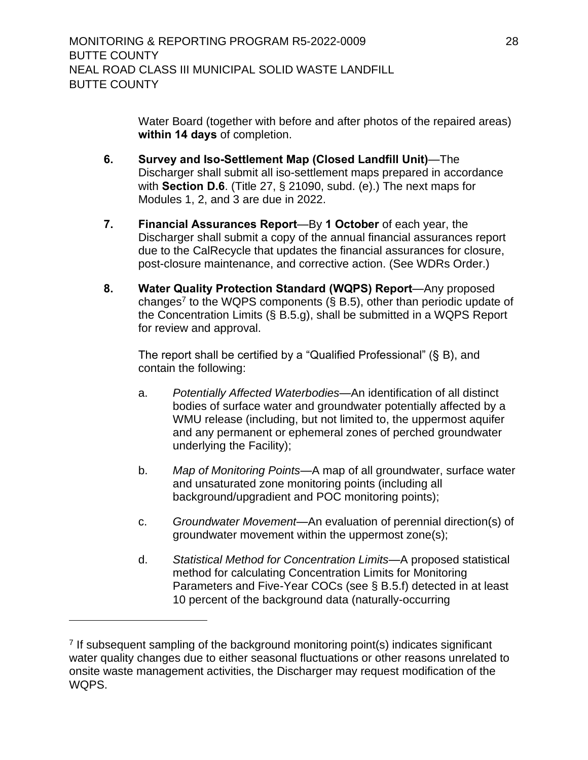<span id="page-38-1"></span>Water Board (together with before and after photos of the repaired areas) **within 14 days** of completion.

- <span id="page-38-0"></span>**6. Survey and Iso-Settlement Map (Closed Landfill Unit)**—The [Discharger](#page-11-6) shall submit all iso-settlement maps prepared in accordance with **Section D.6**. (Title 27, § 21090, subd. (e).) The next maps for Modules 1, 2, and 3 are due in 2022.
- **7. Financial Assurances Report**—By **1 October** of each year, the [Discharger](#page-11-6) shall submit a copy of the annual financial assurances report due to the CalRecycle that updates the financial assurances for closure, post-closure maintenance, and corrective action. (See WDRs Order.)
- <span id="page-38-2"></span>**8. Water Quality Protection Standard (WQPS) Report**—Any proposed changes<sup>7</sup> to the WQPS components (§ B.5), other than periodic update of the Concentration Limits (§ B.5.g), shall be submitted in a WQPS Report for review and approval.

The report shall be certified by a "Qualified Professional" (§ B), and contain the following:

- a. *Potentially Affected Waterbodies*—An identification of all distinct bodies of surface water and groundwater potentially affected by a WMU release (including, but not limited to, the uppermost aquifer and any permanent or ephemeral zones of perched groundwater underlying the Facility);
- b. *Map of Monitoring Points*—A map of all groundwater, surface water and unsaturated zone monitoring points (including all background/upgradient and POC monitoring points);
- c. *Groundwater Movement*—An evaluation of perennial direction(s) of groundwater movement within the uppermost zone(s);
- d. *Statistical Method for Concentration Limits*—A proposed statistical method for calculating Concentration Limits for Monitoring Parameters and Five-Year COCs (see § B.5.f) detected in at least 10 percent of the background data (naturally-occurring

<sup>&</sup>lt;sup>7</sup> If subsequent sampling of the background monitoring point(s) indicates significant water quality changes due to either seasonal fluctuations or other reasons unrelated to onsite waste management activities, the Discharger may request modification of the WQPS.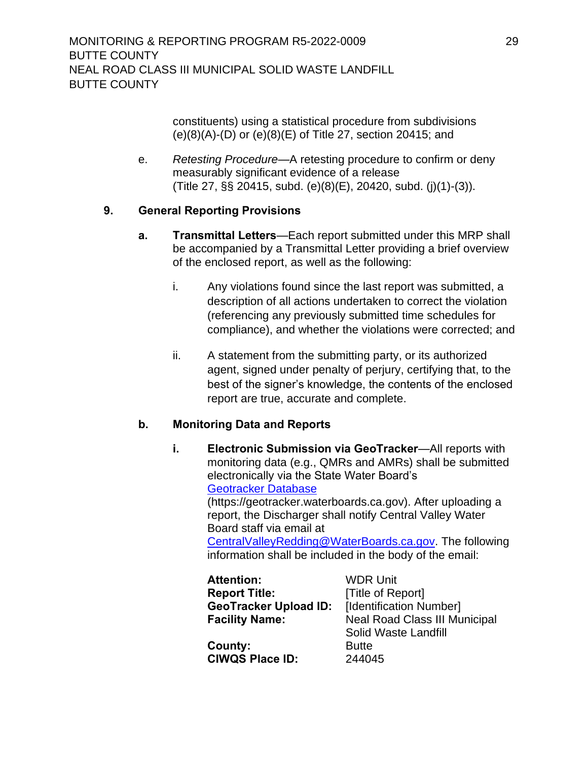MONITORING & REPORTING PROGRAM R5-2022-0009 29 BUTTE COUNTY NEAL ROAD CLASS III MUNICIPAL SOLID WASTE LANDFILL BUTTE COUNTY

> constituents) using a statistical procedure from subdivisions (e)(8)(A)-(D) or (e)(8)(E) of Title 27, section 20415; and

e. *Retesting Procedure*—A retesting procedure to confirm or deny measurably significant evidence of a release (Title 27, §§ 20415, subd. (e)(8)(E), 20420, subd. (j)(1)-(3)).

## <span id="page-39-1"></span><span id="page-39-0"></span>**9. General Reporting Provisions**

- **a. Transmittal Letters**—Each report submitted under this MRP shall be accompanied by a Transmittal Letter providing a brief overview of the enclosed report, as well as the following:
	- i. Any violations found since the last report was submitted, a description of all actions undertaken to correct the violation (referencing any previously submitted time schedules for compliance), and whether the violations were corrected; and
	- ii. A statement from the submitting party, or its authorized agent, signed under penalty of perjury, certifying that, to the best of the signer's knowledge, the contents of the enclosed report are true, accurate and complete.

## <span id="page-39-2"></span>**b. Monitoring Data and Reports**

**i. Electronic Submission via GeoTracker**—All reports with monitoring data (e.g., QMRs and AMRs) shall be submitted electronically via the State Water Board's [Geotracker Database](file:///C:/Users/patrick%20decarvalho/Desktop/Neal%20Rd%20WDRs/Geotracker%20Database) (https://geotracker.waterboards.ca.gov). After uploading a report, the [Discharger](#page-11-6) shall notify Central Valley Water Board staff via email at [CentralValleyRedding@WaterBoards.ca.gov.](mailto:CentralValleyRedding@WaterBoards.ca.gov) The following information shall be included in the body of the email:

| <b>Attention:</b>            | <b>WDR Unit</b>                      |
|------------------------------|--------------------------------------|
| <b>Report Title:</b>         | [Title of Report]                    |
| <b>GeoTracker Upload ID:</b> | [Identification Number]              |
| <b>Facility Name:</b>        | <b>Neal Road Class III Municipal</b> |
|                              | Solid Waste Landfill                 |
| County:                      | <b>Butte</b>                         |
| <b>CIWQS Place ID:</b>       | 244045                               |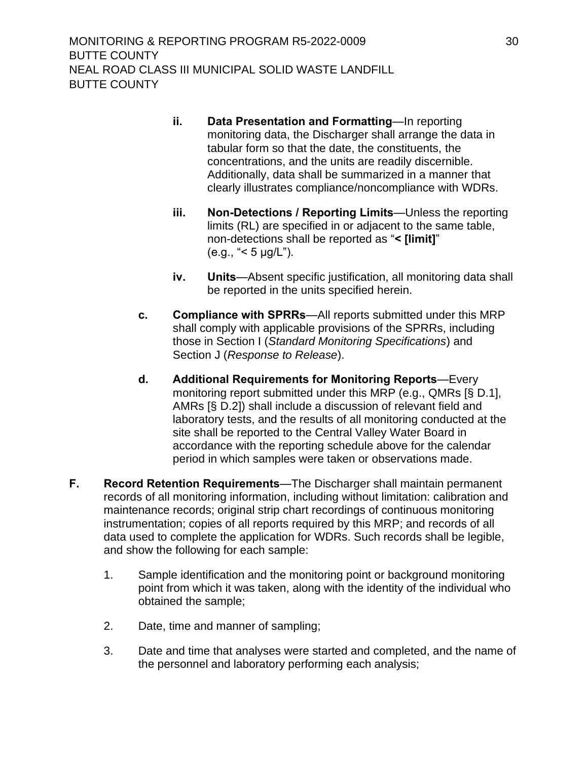- **ii. Data Presentation and Formatting**—In reporting monitoring data, the [Discharger](#page-11-6) shall arrange the data in tabular form so that the date, the constituents, the concentrations, and the units are readily discernible. Additionally, data shall be summarized in a manner that clearly illustrates compliance/noncompliance with WDRs.
- **iii. Non-Detections / Reporting Limits**—Unless the reporting limits (RL) are specified in or adjacent to the same table, non-detections shall be reported as "**< [limit]**" (e.g., "< 5 µg/L").
- **iv. Units**—Absent specific justification, all monitoring data shall be reported in the units specified herein.
- <span id="page-40-0"></span>**c. Compliance with SPRRs**—All reports submitted under this MRP shall comply with applicable provisions of the SPRRs, including those in Section I (*Standard Monitoring Specifications*) and Section J (*Response to Release*).
- <span id="page-40-1"></span>**d. Additional Requirements for Monitoring Reports**—Every monitoring report submitted under this MRP (e.g., QMRs [§ D.1], AMRs [§ D.2]) shall include a discussion of relevant field and laboratory tests, and the results of all monitoring conducted at the site shall be reported to the Central Valley Water Board in accordance with the reporting schedule above for the calendar period in which samples were taken or observations made.
- <span id="page-40-2"></span>**F. Record Retention Requirements**—The [Discharger](#page-11-6) shall maintain permanent records of all monitoring information, including without limitation: calibration and maintenance records; original strip chart recordings of continuous monitoring instrumentation; copies of all reports required by this MRP; and records of all data used to complete the application for WDRs. Such records shall be legible, and show the following for each sample:
	- 1. Sample identification and the monitoring point or background monitoring point from which it was taken, along with the identity of the individual who obtained the sample;
	- 2. Date, time and manner of sampling;
	- 3. Date and time that analyses were started and completed, and the name of the personnel and laboratory performing each analysis;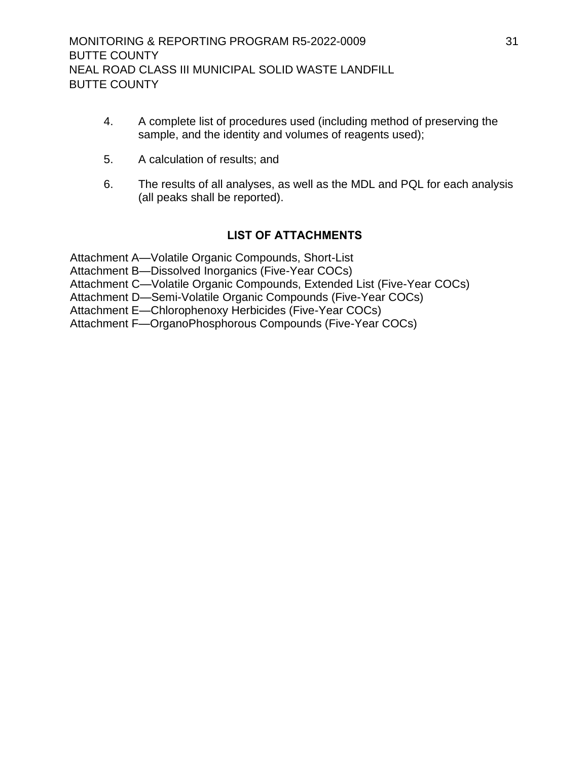- 4. A complete list of procedures used (including method of preserving the sample, and the identity and volumes of reagents used);
- 5. A calculation of results; and
- 6. The results of all analyses, as well as the MDL and PQL for each analysis (all peaks shall be reported).

## **LIST OF ATTACHMENTS**

Attachment A—Volatile Organic Compounds, Short-List

Attachment B—Dissolved Inorganics (Five-Year COCs)

Attachment C—Volatile Organic Compounds, Extended List (Five-Year COCs)

Attachment D—Semi-Volatile Organic Compounds (Five-Year COCs)

Attachment E—Chlorophenoxy Herbicides (Five-Year COCs)

Attachment F—OrganoPhosphorous Compounds (Five-Year COCs)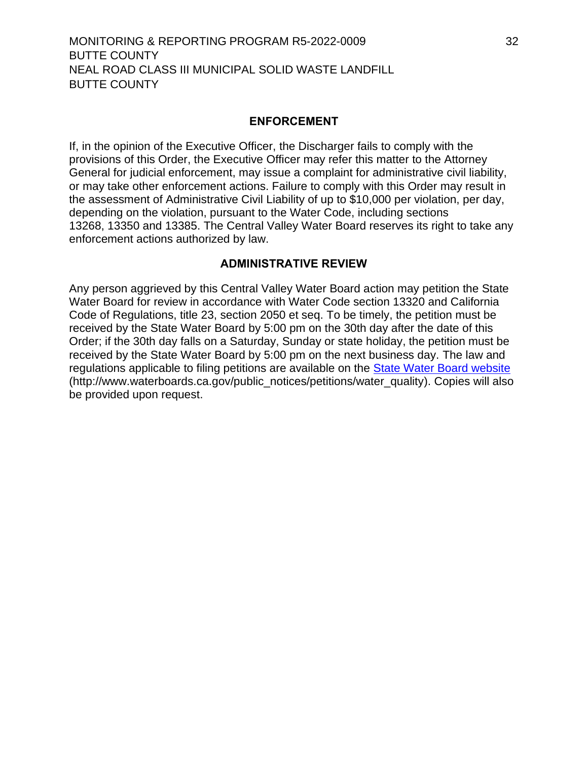#### **ENFORCEMENT**

If, in the opinion of the Executive Officer, the [Discharger](#page-11-6) fails to comply with the provisions of this Order, the Executive Officer may refer this matter to the Attorney General for judicial enforcement, may issue a complaint for administrative civil liability, or may take other enforcement actions. Failure to comply with this Order may result in the assessment of Administrative Civil Liability of up to \$10,000 per violation, per day, depending on the violation, pursuant to the Water Code, including sections 13268, 13350 and 13385. The Central Valley Water Board reserves its right to take any enforcement actions authorized by law.

#### **ADMINISTRATIVE REVIEW**

Any person aggrieved by this Central Valley Water Board action may petition the State Water Board for review in accordance with Water Code section 13320 and California Code of Regulations, title 23, section 2050 et seq. To be timely, the petition must be received by the State Water Board by 5:00 pm on the 30th day after the date of this Order; if the 30th day falls on a Saturday, Sunday or state holiday, the petition must be received by the State Water Board by 5:00 pm on the next business day. The law and regulations applicable to filing petitions are available on the [State Water Board website](http://www.waterboards.ca.gov/public_notices/petitions/water_quality) (http://www.waterboards.ca.gov/public\_notices/petitions/water\_quality). Copies will also be provided upon request.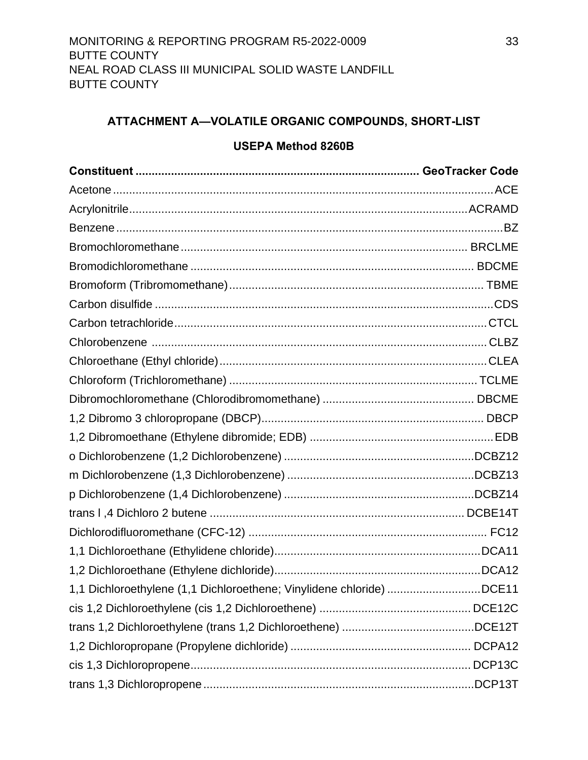## <span id="page-43-0"></span>**ATTACHMENT A—VOLATILE ORGANIC COMPOUNDS, SHORT-LIST**

#### **USEPA Method 8260B**

| 1,1 Dichloroethylene (1,1 Dichloroethene; Vinylidene chloride) DCE11 |  |
|----------------------------------------------------------------------|--|
|                                                                      |  |
|                                                                      |  |
|                                                                      |  |
|                                                                      |  |
|                                                                      |  |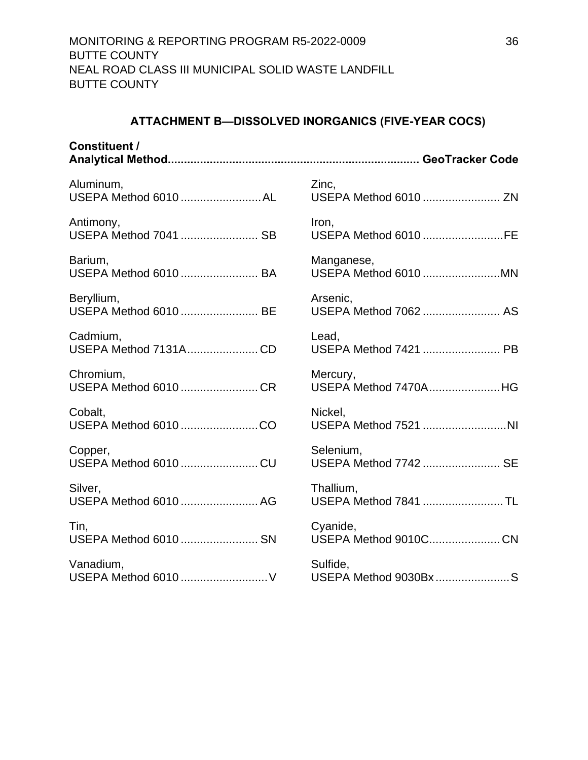## **ATTACHMENT B—DISSOLVED INORGANICS (FIVE-YEAR COCS)**

<span id="page-46-0"></span>

| <b>Constituent /</b>  |                       |
|-----------------------|-----------------------|
| Aluminum,             | Zinc.                 |
| USEPA Method 6010 AL  | USEPA Method 6010  ZN |
| Antimony,             | Iron,                 |
| USEPA Method 7041  SB | USEPA Method 6010 FE  |
| Barium,               | Manganese,            |
| USEPA Method 6010  BA | USEPA Method 6010 MN  |
| Beryllium,            | Arsenic,              |
| USEPA Method 6010  BE | USEPA Method 7062  AS |
| Cadmium,              | Lead,                 |
| USEPA Method 7131ACD  | USEPA Method 7421  PB |
| Chromium,             | Mercury,              |
| USEPA Method 6010 CR  | USEPA Method 7470AHG  |
| Cobalt,               | Nickel,               |
|                       | USEPA Method 7521 NI  |
| Copper,               | Selenium,             |
| USEPA Method 6010 CU  | USEPA Method 7742  SE |
| Silver,               | Thallium,             |
| USEPA Method 6010  AG | USEPA Method 7841 TL  |
| Tin,                  | Cyanide,              |
| USEPA Method 6010  SN | USEPA Method 9010CCN  |
| Vanadium,             | Sulfide,              |
| USEPA Method 6010  V  | USEPA Method 9030Bx S |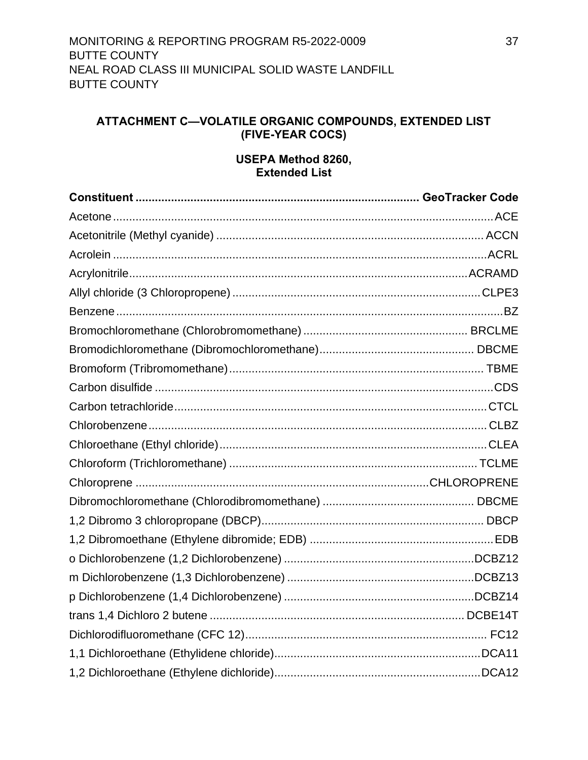## <span id="page-47-0"></span>**ATTACHMENT C—VOLATILE ORGANIC COMPOUNDS, EXTENDED LIST (FIVE-YEAR COCS)**

## **USEPA Method 8260, Extended List**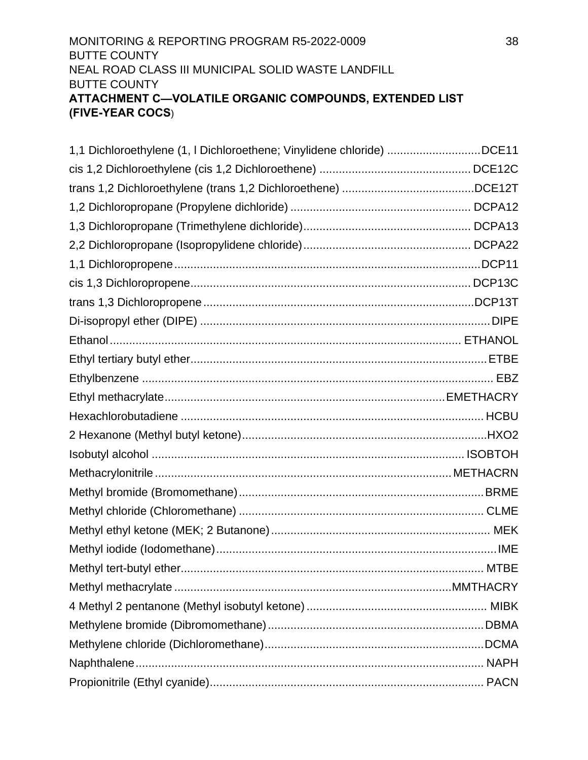## MONITORING & REPORTING PROGRAM R5-2022-0009 38 BUTTE COUNTY NEAL ROAD CLASS III MUNICIPAL SOLID WASTE LANDFILL BUTTE COUNTY **ATTACHMENT C—VOLATILE ORGANIC COMPOUNDS, EXTENDED LIST (FIVE-YEAR COCS**)

| 1,1 Dichloroethylene (1, I Dichloroethene; Vinylidene chloride) DCE11 |  |
|-----------------------------------------------------------------------|--|
|                                                                       |  |
|                                                                       |  |
|                                                                       |  |
|                                                                       |  |
|                                                                       |  |
|                                                                       |  |
|                                                                       |  |
|                                                                       |  |
|                                                                       |  |
|                                                                       |  |
|                                                                       |  |
|                                                                       |  |
|                                                                       |  |
|                                                                       |  |
|                                                                       |  |
|                                                                       |  |
|                                                                       |  |
|                                                                       |  |
|                                                                       |  |
|                                                                       |  |
|                                                                       |  |
|                                                                       |  |
|                                                                       |  |
|                                                                       |  |
|                                                                       |  |
|                                                                       |  |
|                                                                       |  |
|                                                                       |  |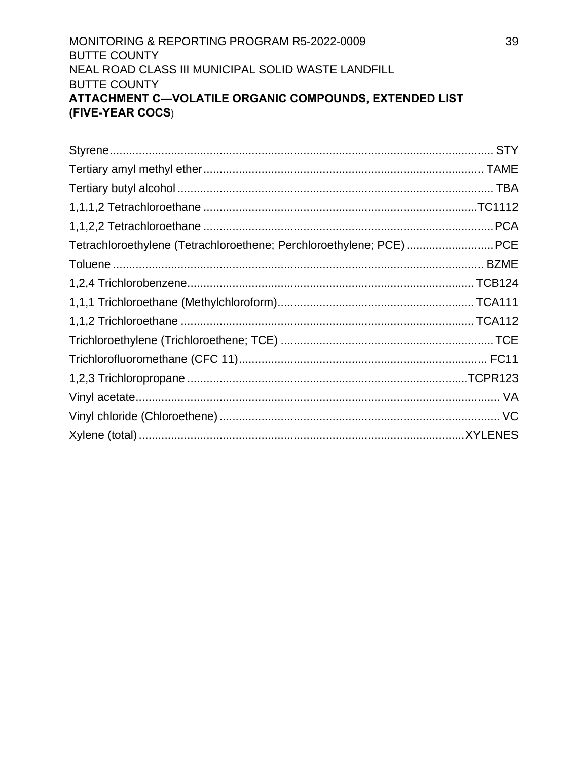## MONITORING & REPORTING PROGRAM R5-2022-0009 **BUTTE COUNTY** NEAL ROAD CLASS III MUNICIPAL SOLID WASTE LANDFILL **BUTTE COUNTY** ATTACHMENT C-VOLATILE ORGANIC COMPOUNDS, EXTENDED LIST (FIVE-YEAR COCS)

| Tetrachloroethylene (Tetrachloroethene; Perchloroethylene; PCE)PCE |  |
|--------------------------------------------------------------------|--|
|                                                                    |  |
|                                                                    |  |
|                                                                    |  |
|                                                                    |  |
|                                                                    |  |
|                                                                    |  |
|                                                                    |  |
|                                                                    |  |
|                                                                    |  |
|                                                                    |  |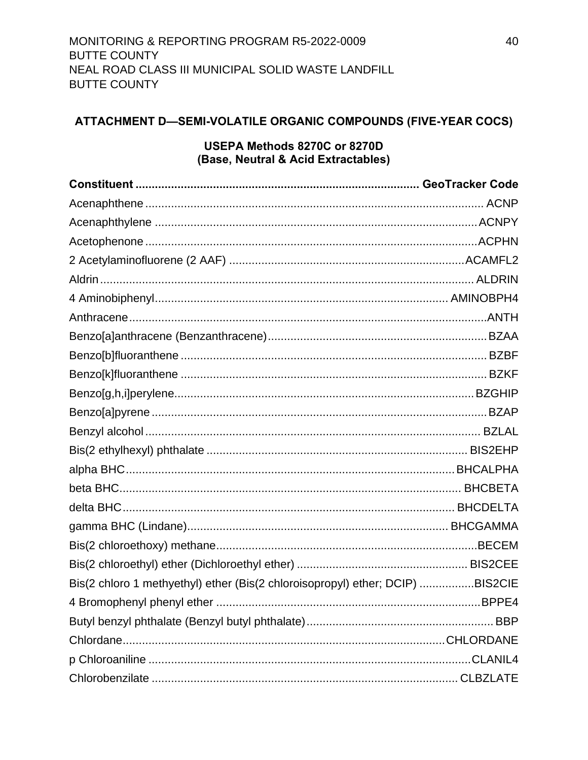# <span id="page-50-0"></span>ATTACHMENT D-SEMI-VOLATILE ORGANIC COMPOUNDS (FIVE-YEAR COCS)

#### USEPA Methods 8270C or 8270D (Base, Neutral & Acid Extractables)

| Bis(2 chloro 1 methyethyl) ether (Bis(2 chloroisopropyl) ether; DCIP) BIS2CIE |  |
|-------------------------------------------------------------------------------|--|
|                                                                               |  |
|                                                                               |  |
|                                                                               |  |
|                                                                               |  |
|                                                                               |  |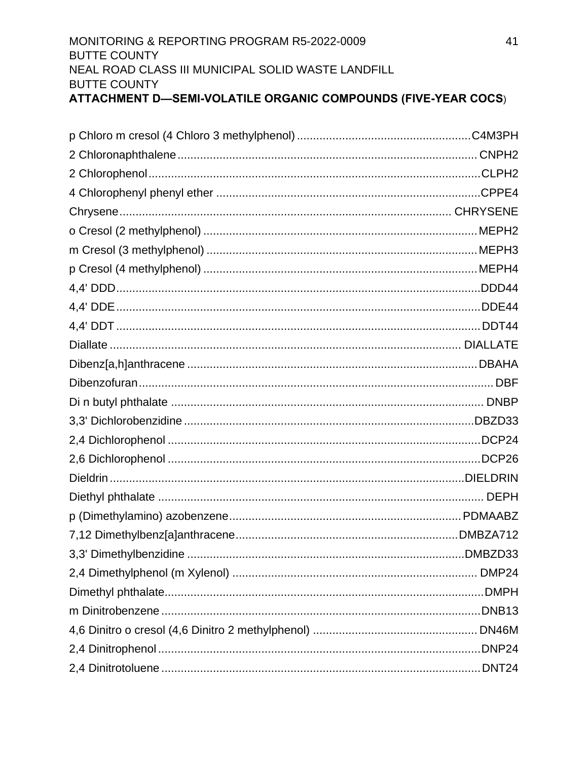| ATTACHMENT D—SEMI-VOLATILE ORGANIC COMPOUNDS (FIVE-YEAR COCS) |    |
|---------------------------------------------------------------|----|
| <b>BUTTE COUNTY</b>                                           |    |
| NEAL ROAD CLASS III MUNICIPAL SOLID WASTE LANDFILL            |    |
| <b>BUTTE COUNTY</b>                                           |    |
| MONITORING & REPORTING PROGRAM R5-2022-0009                   | 41 |

| DMBZD33. |
|----------|
|          |
|          |
|          |
|          |
|          |
|          |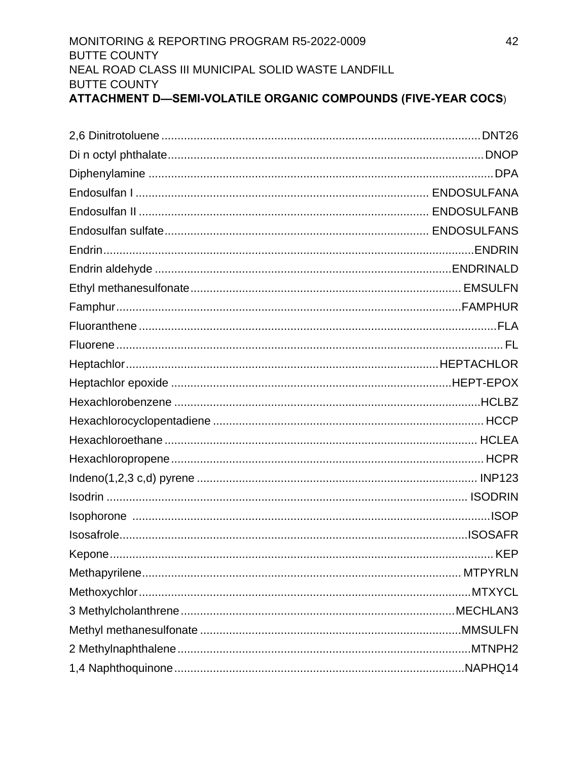| ATTACHMENT D—SEMI-VOLATILE ORGANIC COMPOUNDS (FIVE-YEAR COCS) |
|---------------------------------------------------------------|
| <b>BUTTE COUNTY</b>                                           |
| NEAL ROAD CLASS III MUNICIPAL SOLID WASTE LANDFILL            |
| <b>BUTTE COUNTY</b>                                           |
| MONITORING & REPORTING PROGRAM R5-2022-0009<br>42             |

| Kepone. | .KEP |
|---------|------|
|         |      |
|         |      |
|         |      |
|         |      |
|         |      |
|         |      |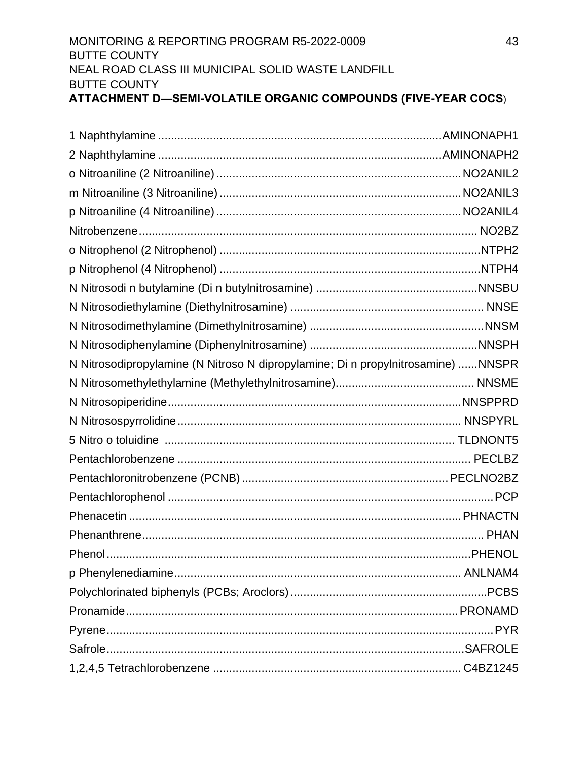| <b>BUTTE COUNTY</b><br>ATTACHMENT D—SEMI-VOLATILE ORGANIC COMPOUNDS (FIVE-YEAR COCS) |    |
|--------------------------------------------------------------------------------------|----|
| NEAL ROAD CLASS III MUNICIPAL SOLID WASTE LANDFILL                                   |    |
| <b>BUTTE COUNTY</b>                                                                  |    |
| MONITORING & REPORTING PROGRAM R5-2022-0009                                          | 4. |

| N Nitrosodipropylamine (N Nitroso N dipropylamine; Di n propylnitrosamine) NNSPR |         |
|----------------------------------------------------------------------------------|---------|
|                                                                                  |         |
|                                                                                  |         |
|                                                                                  |         |
|                                                                                  |         |
|                                                                                  |         |
|                                                                                  |         |
|                                                                                  |         |
|                                                                                  |         |
|                                                                                  |         |
| Phenol                                                                           | .PHENOL |
|                                                                                  |         |
|                                                                                  |         |
|                                                                                  |         |
|                                                                                  |         |
|                                                                                  |         |
|                                                                                  |         |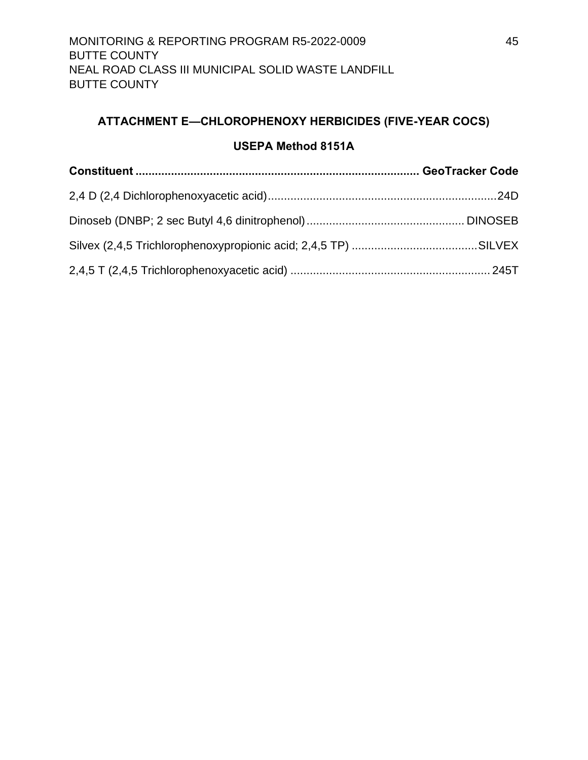## <span id="page-55-0"></span>**ATTACHMENT E—CHLOROPHENOXY HERBICIDES (FIVE-YEAR COCS)**

## **USEPA Method 8151A**